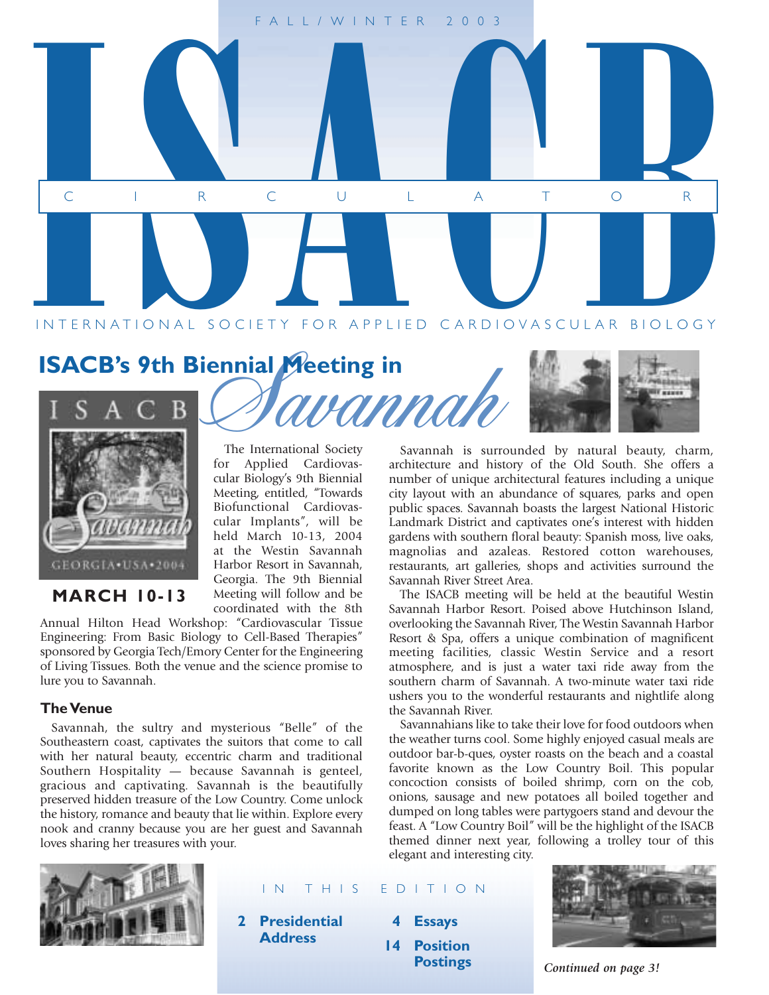

## **ISACB's 9th Biennial Meeting in**



The International Society for Applied Cardiovascular Biology's 9th Biennial Meeting, entitled, "Towards Biofunctional Cardiovascular Implants", will be held March 10-13, 2004 at the Westin Savannah Harbor Resort in Savannah, Georgia. The 9th Biennial Meeting will follow and be coordinated with the 8th

> **2 Presidential Address**

**MARCH 10-13**

Annual Hilton Head Workshop: "Cardiovascular Tissue Engineering: From Basic Biology to Cell-Based Therapies" sponsored by Georgia Tech/Emory Center for the Engineering of Living Tissues. Both the venue and the science promise to lure you to Savannah.

#### **The Venue**

Savannah, the sultry and mysterious "Belle" of the Southeastern coast, captivates the suitors that come to call with her natural beauty, eccentric charm and traditional Southern Hospitality — because Savannah is genteel, gracious and captivating. Savannah is the beautifully preserved hidden treasure of the Low Country. Come unlock the history, romance and beauty that lie within. Explore every nook and cranny because you are her guest and Savannah loves sharing her treasures with your.

Savannah is surrounded by natural beauty, charm, architecture and history of the Old South. She offers a number of unique architectural features including a unique city layout with an abundance of squares, parks and open public spaces. Savannah boasts the largest National Historic Landmark District and captivates one's interest with hidden gardens with southern floral beauty: Spanish moss, live oaks, magnolias and azaleas. Restored cotton warehouses, restaurants, art galleries, shops and activities surround the Savannah River Street Area.

The ISACB meeting will be held at the beautiful Westin Savannah Harbor Resort. Poised above Hutchinson Island, overlooking the Savannah River, The Westin Savannah Harbor Resort & Spa, offers a unique combination of magnificent meeting facilities, classic Westin Service and a resort atmosphere, and is just a water taxi ride away from the southern charm of Savannah. A two-minute water taxi ride ushers you to the wonderful restaurants and nightlife along the Savannah River.

Savannahians like to take their love for food outdoors when the weather turns cool. Some highly enjoyed casual meals are outdoor bar-b-ques, oyster roasts on the beach and a coastal favorite known as the Low Country Boil. This popular concoction consists of boiled shrimp, corn on the cob, onions, sausage and new potatoes all boiled together and dumped on long tables were partygoers stand and devour the feast. A "Low Country Boil" will be the highlight of the ISACB themed dinner next year, following a trolley tour of this elegant and interesting city.



IN THIS EDITION

- **4 Essays**
- **14 Position**



**Postings** *Continued on page 3!*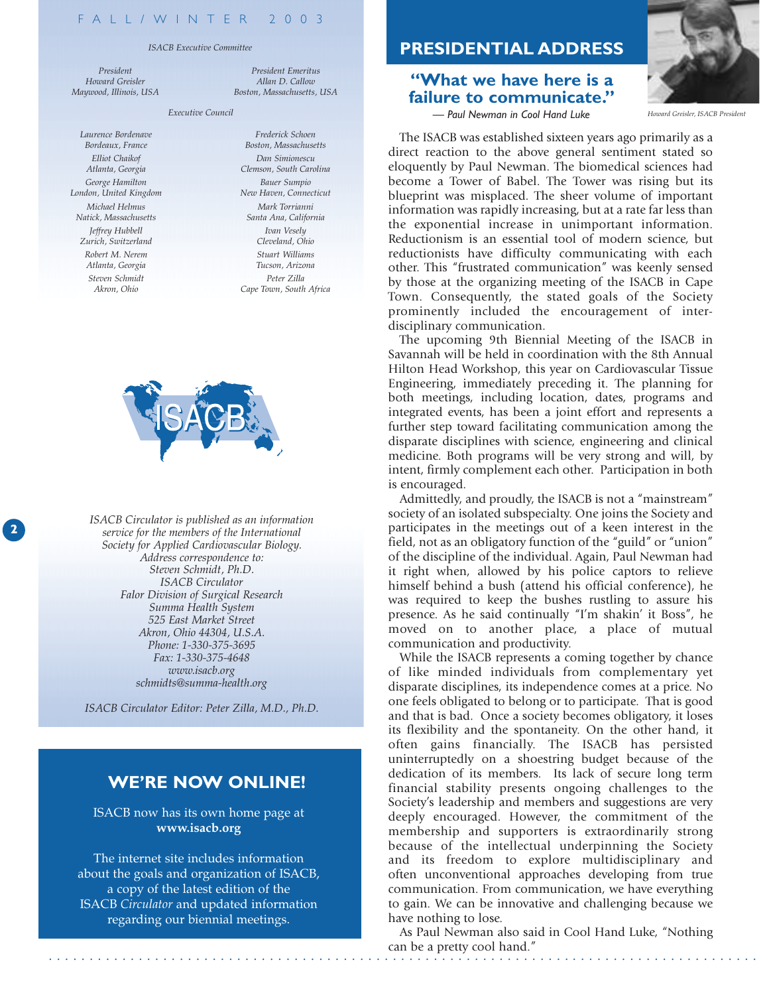#### *ISACB Executive Committee*

*Executive Council*

*President Howard Greisler Maywood, Illinois, USA*

*Laurence Bordenave Bordeaux, France Elliot Chaikof Atlanta, Georgia George Hamilton London, United Kingdom Michael Helmus Natick, Massachusetts Jeffrey Hubbell Zurich, Switzerland Robert M. Nerem Atlanta, Georgia Steven Schmidt Akron, Ohio*

**2**

*Frederick Schoen Boston, Massachusetts Dan Simionescu Clemson, South Carolina Bauer Sumpio New Haven, Connecticut Mark Torrianni Santa Ana, California Ivan Vesely Cleveland, Ohio Stuart Williams Tucson, Arizona Peter Zilla Cape Town, South Africa*

*President Emeritus Allan D. Callow Boston, Massachusetts, USA*



**<sup>2</sup>** *ISACB Circulator is published as an information service for the members of the International Society for Applied Cardiovascular Biology. Address correspondence to: Steven Schmidt, Ph.D. ISACB Circulator Falor Division of Surgical Research Summa Health System 525 East Market Street Akron, Ohio 44304, U.S.A. Phone: 1-330-375-3695 Fax: 1-330-375-4648 www.isacb.org schmidts@summa-health.org*

*ISACB Circulator Editor: Peter Zilla, M.D., Ph.D.*

#### **WE'RE NOW ONLINE!**

ISACB now has its own home page at **www.isacb.org**

The internet site includes information about the goals and organization of ISACB, a copy of the latest edition of the ISACB *Circulator* and updated information regarding our biennial meetings.

#### **PRESIDENTIAL ADDRESS**

#### **"What we have here is a failure to communicate."** *— Paul Newman in Cool Hand Luke Howard Greisler, ISACB President*



The ISACB was established sixteen years ago primarily as a direct reaction to the above general sentiment stated so eloquently by Paul Newman. The biomedical sciences had become a Tower of Babel. The Tower was rising but its blueprint was misplaced. The sheer volume of important information was rapidly increasing, but at a rate far less than the exponential increase in unimportant information. Reductionism is an essential tool of modern science, but reductionists have difficulty communicating with each other. This "frustrated communication" was keenly sensed by those at the organizing meeting of the ISACB in Cape Town. Consequently, the stated goals of the Society prominently included the encouragement of interdisciplinary communication.

The upcoming 9th Biennial Meeting of the ISACB in Savannah will be held in coordination with the 8th Annual Hilton Head Workshop, this year on Cardiovascular Tissue Engineering, immediately preceding it. The planning for both meetings, including location, dates, programs and integrated events, has been a joint effort and represents a further step toward facilitating communication among the disparate disciplines with science, engineering and clinical medicine. Both programs will be very strong and will, by intent, firmly complement each other. Participation in both is encouraged.

Admittedly, and proudly, the ISACB is not a "mainstream" society of an isolated subspecialty. One joins the Society and participates in the meetings out of a keen interest in the field, not as an obligatory function of the "guild" or "union" of the discipline of the individual. Again, Paul Newman had it right when, allowed by his police captors to relieve himself behind a bush (attend his official conference), he was required to keep the bushes rustling to assure his presence. As he said continually "I'm shakin' it Boss", he moved on to another place, a place of mutual communication and productivity.

While the ISACB represents a coming together by chance of like minded individuals from complementary yet disparate disciplines, its independence comes at a price. No one feels obligated to belong or to participate. That is good and that is bad. Once a society becomes obligatory, it loses its flexibility and the spontaneity. On the other hand, it often gains financially. The ISACB has persisted uninterruptedly on a shoestring budget because of the dedication of its members. Its lack of secure long term financial stability presents ongoing challenges to the Society's leadership and members and suggestions are very deeply encouraged. However, the commitment of the membership and supporters is extraordinarily strong because of the intellectual underpinning the Society and its freedom to explore multidisciplinary and often unconventional approaches developing from true communication. From communication, we have everything to gain. We can be innovative and challenging because we have nothing to lose.

. . . . . . . . . . . . . . . . . . . . . . . . . . . . . . . . . . . . . . . . . . . . . . . . . . . . . . . . . . . . . . . . . . . . . . . . . . . . . . . . . . . . . . . As Paul Newman also said in Cool Hand Luke, "Nothing can be a pretty cool hand."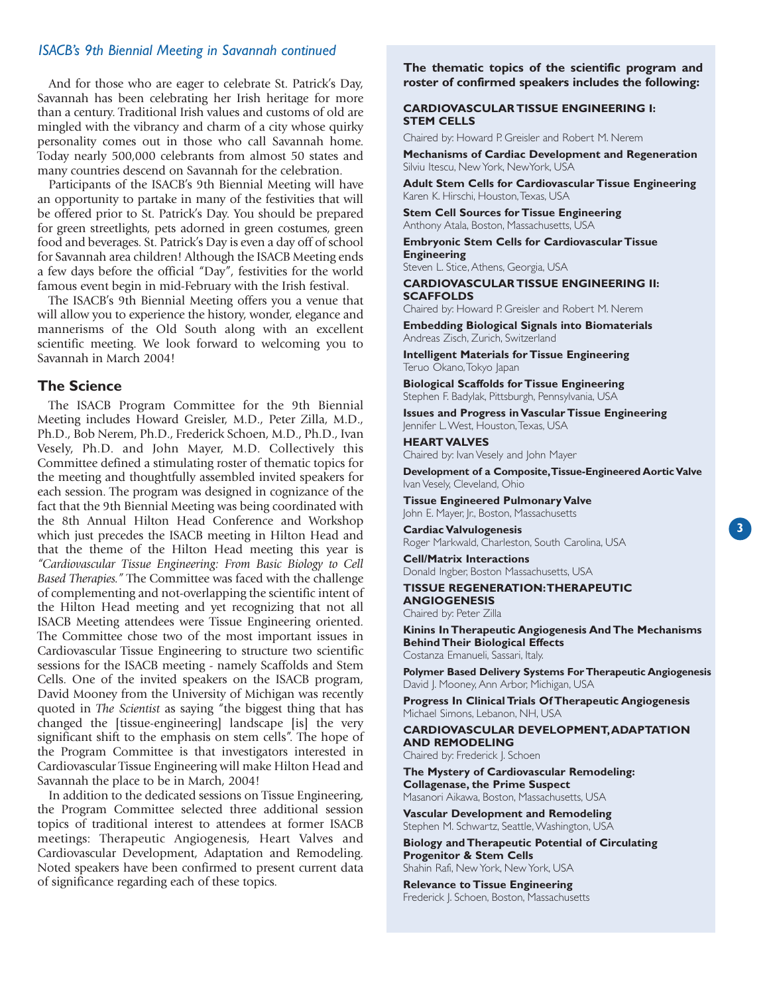#### *ISACB's 9th Biennial Meeting in Savannah continued*

And for those who are eager to celebrate St. Patrick's Day, Savannah has been celebrating her Irish heritage for more than a century. Traditional Irish values and customs of old are mingled with the vibrancy and charm of a city whose quirky personality comes out in those who call Savannah home. Today nearly 500,000 celebrants from almost 50 states and many countries descend on Savannah for the celebration.

Participants of the ISACB's 9th Biennial Meeting will have an opportunity to partake in many of the festivities that will be offered prior to St. Patrick's Day. You should be prepared for green streetlights, pets adorned in green costumes, green food and beverages. St. Patrick's Day is even a day off of school for Savannah area children! Although the ISACB Meeting ends a few days before the official "Day", festivities for the world famous event begin in mid-February with the Irish festival.

The ISACB's 9th Biennial Meeting offers you a venue that will allow you to experience the history, wonder, elegance and mannerisms of the Old South along with an excellent scientific meeting. We look forward to welcoming you to Savannah in March 2004!

#### **The Science**

The ISACB Program Committee for the 9th Biennial Meeting includes Howard Greisler, M.D., Peter Zilla, M.D., Ph.D., Bob Nerem, Ph.D., Frederick Schoen, M.D., Ph.D., Ivan Vesely, Ph.D. and John Mayer, M.D. Collectively this Committee defined a stimulating roster of thematic topics for the meeting and thoughtfully assembled invited speakers for each session. The program was designed in cognizance of the fact that the 9th Biennial Meeting was being coordinated with the 8th Annual Hilton Head Conference and Workshop which just precedes the ISACB meeting in Hilton Head and that the theme of the Hilton Head meeting this year is *"Cardiovascular Tissue Engineering: From Basic Biology to Cell Based Therapies."* The Committee was faced with the challenge of complementing and not-overlapping the scientific intent of the Hilton Head meeting and yet recognizing that not all ISACB Meeting attendees were Tissue Engineering oriented. The Committee chose two of the most important issues in Cardiovascular Tissue Engineering to structure two scientific sessions for the ISACB meeting - namely Scaffolds and Stem Cells. One of the invited speakers on the ISACB program, David Mooney from the University of Michigan was recently quoted in *The Scientist* as saying "the biggest thing that has changed the [tissue-engineering] landscape [is] the very significant shift to the emphasis on stem cells". The hope of the Program Committee is that investigators interested in Cardiovascular Tissue Engineering will make Hilton Head and Savannah the place to be in March, 2004!

In addition to the dedicated sessions on Tissue Engineering, the Program Committee selected three additional session topics of traditional interest to attendees at former ISACB meetings: Therapeutic Angiogenesis, Heart Valves and Cardiovascular Development, Adaptation and Remodeling. Noted speakers have been confirmed to present current data of significance regarding each of these topics.

**The thematic topics of the scientific program and roster of confirmed speakers includes the following:**

#### **CARDIOVASCULAR TISSUE ENGINEERING I: STEM CELLS**

Chaired by: Howard P. Greisler and Robert M. Nerem

**Mechanisms of Cardiac Development and Regeneration** Silviu Itescu, New York, NewYork, USA

**Adult Stem Cells for Cardiovascular Tissue Engineering** Karen K. Hirschi, Houston,Texas, USA

**Stem Cell Sources for Tissue Engineering** Anthony Atala, Boston, Massachusetts, USA

**Embryonic Stem Cells for Cardiovascular Tissue Engineering**

Steven L. Stice, Athens, Georgia, USA

**CARDIOVASCULAR TISSUE ENGINEERING II: SCAFFOLDS**

Chaired by: Howard P. Greisler and Robert M. Nerem

**Embedding Biological Signals into Biomaterials** Andreas Zisch, Zurich, Switzerland

**Intelligent Materials for Tissue Engineering** Teruo Okano,Tokyo Japan

**Biological Scaffolds for Tissue Engineering** Stephen F. Badylak, Pittsburgh, Pennsylvania, USA

**Issues and Progress in Vascular Tissue Engineering** Jennifer L.West, Houston,Texas, USA

**HEART VALVES** Chaired by: Ivan Vesely and John Mayer

**Development of a Composite,Tissue-Engineered Aortic Valve** Ivan Vesely, Cleveland, Ohio

**Tissue Engineered Pulmonary Valve** John E. Mayer, Jr., Boston, Massachusetts

**Cardiac Valvulogenesis** Roger Markwald, Charleston, South Carolina, USA

**Cell/Matrix Interactions** Donald Ingber, Boston Massachusetts, USA

**TISSUE REGENERATION:THERAPEUTIC ANGIOGENESIS** Chaired by: Peter Zilla

**Kinins In Therapeutic Angiogenesis And The Mechanisms Behind Their Biological Effects** Costanza Emanueli, Sassari, Italy.

**Polymer Based Delivery Systems For Therapeutic Angiogenesis** David J. Mooney, Ann Arbor, Michigan, USA

**Progress In Clinical Trials Of Therapeutic Angiogenesis** Michael Simons, Lebanon, NH, USA

**CARDIOVASCULAR DEVELOPMENT,ADAPTATION AND REMODELING**

Chaired by: Frederick J. Schoen

**The Mystery of Cardiovascular Remodeling: Collagenase, the Prime Suspect** Masanori Aikawa, Boston, Massachusetts, USA

**Vascular Development and Remodeling** Stephen M. Schwartz, Seattle, Washington, USA

**Biology and Therapeutic Potential of Circulating Progenitor & Stem Cells**  Shahin Rafi, New York, New York, USA

**Relevance to Tissue Engineering** Frederick J. Schoen, Boston, Massachusetts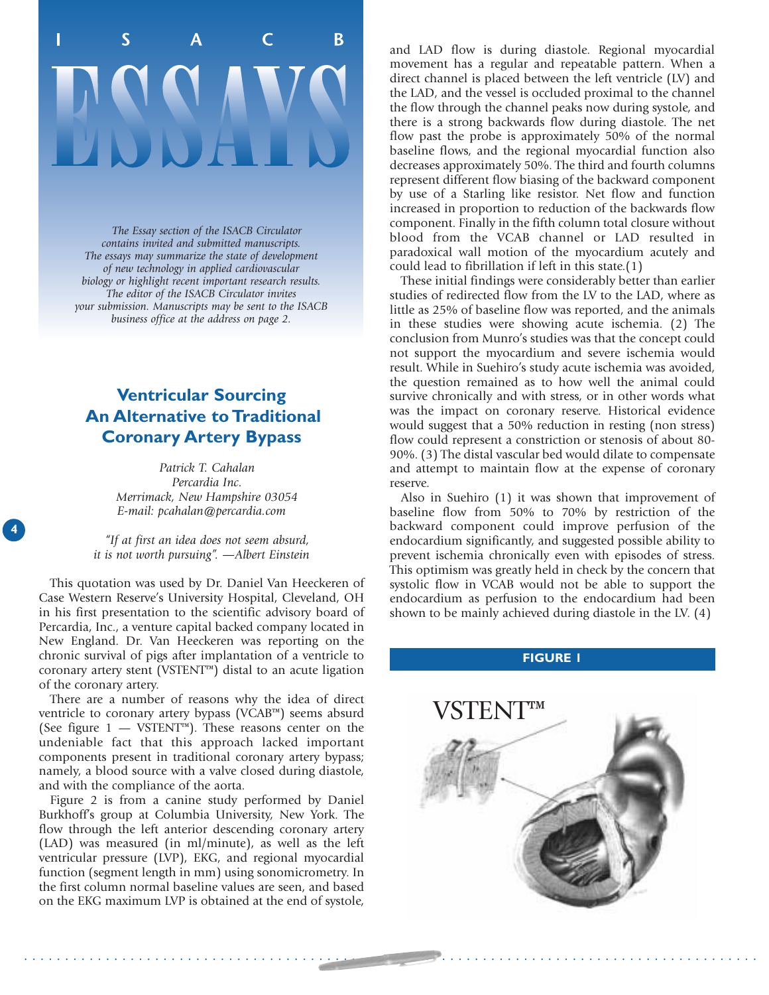# <sub>B</sub>

*The Essay section of the ISACB Circulator contains invited and submitted manuscripts. The essays may summarize the state of development of new technology in applied cardiovascular biology or highlight recent important research results. The editor of the ISACB Circulator invites your submission. Manuscripts may be sent to the ISACB business office at the address on page 2.*

## **Ventricular Sourcing An Alternative to Traditional Coronary Artery Bypass**

*Patrick T. Cahalan Percardia Inc. Merrimack, New Hampshire 03054 E-mail: pcahalan@percardia.com*

*"If at first an idea does not seem absurd, it is not worth pursuing". —Albert Einstein*

This quotation was used by Dr. Daniel Van Heeckeren of Case Western Reserve's University Hospital, Cleveland, OH in his first presentation to the scientific advisory board of Percardia, Inc., a venture capital backed company located in New England. Dr. Van Heeckeren was reporting on the chronic survival of pigs after implantation of a ventricle to coronary artery stent (VSTENT™) distal to an acute ligation of the coronary artery.

There are a number of reasons why the idea of direct ventricle to coronary artery bypass (VCAB™) seems absurd (See figure  $1 - VSTENT^M$ ). These reasons center on the undeniable fact that this approach lacked important components present in traditional coronary artery bypass; namely, a blood source with a valve closed during diastole, and with the compliance of the aorta.

Figure 2 is from a canine study performed by Daniel Burkhoff's group at Columbia University, New York. The flow through the left anterior descending coronary artery (LAD) was measured (in ml/minute), as well as the left ventricular pressure (LVP), EKG, and regional myocardial function (segment length in mm) using sonomicrometry. In the first column normal baseline values are seen, and based on the EKG maximum LVP is obtained at the end of systole,

and LAD flow is during diastole. Regional myocardial movement has a regular and repeatable pattern. When a direct channel is placed between the left ventricle (LV) and the LAD, and the vessel is occluded proximal to the channel the flow through the channel peaks now during systole, and there is a strong backwards flow during diastole. The net flow past the probe is approximately 50% of the normal baseline flows, and the regional myocardial function also decreases approximately 50%. The third and fourth columns represent different flow biasing of the backward component by use of a Starling like resistor. Net flow and function increased in proportion to reduction of the backwards flow component. Finally in the fifth column total closure without blood from the VCAB channel or LAD resulted in paradoxical wall motion of the myocardium acutely and could lead to fibrillation if left in this state.(1)

These initial findings were considerably better than earlier studies of redirected flow from the LV to the LAD, where as little as 25% of baseline flow was reported, and the animals in these studies were showing acute ischemia. (2) The conclusion from Munro's studies was that the concept could not support the myocardium and severe ischemia would result. While in Suehiro's study acute ischemia was avoided, the question remained as to how well the animal could survive chronically and with stress, or in other words what was the impact on coronary reserve. Historical evidence would suggest that a 50% reduction in resting (non stress) flow could represent a constriction or stenosis of about 80- 90%. (3) The distal vascular bed would dilate to compensate and attempt to maintain flow at the expense of coronary reserve.

Also in Suehiro (1) it was shown that improvement of baseline flow from 50% to 70% by restriction of the backward component could improve perfusion of the endocardium significantly, and suggested possible ability to prevent ischemia chronically even with episodes of stress. This optimism was greatly held in check by the concern that systolic flow in VCAB would not be able to support the endocardium as perfusion to the endocardium had been shown to be mainly achieved during diastole in the LV. (4)

#### **FIGURE 1**



. . . . . . . . . . . . . . . . . . . . . . . . . . . . . . . . . . . . . . . . . . . . . . . . . . . . . . . . . . . . . . . . . . . . . . . . . . . . . . . . . . . . . . . . . .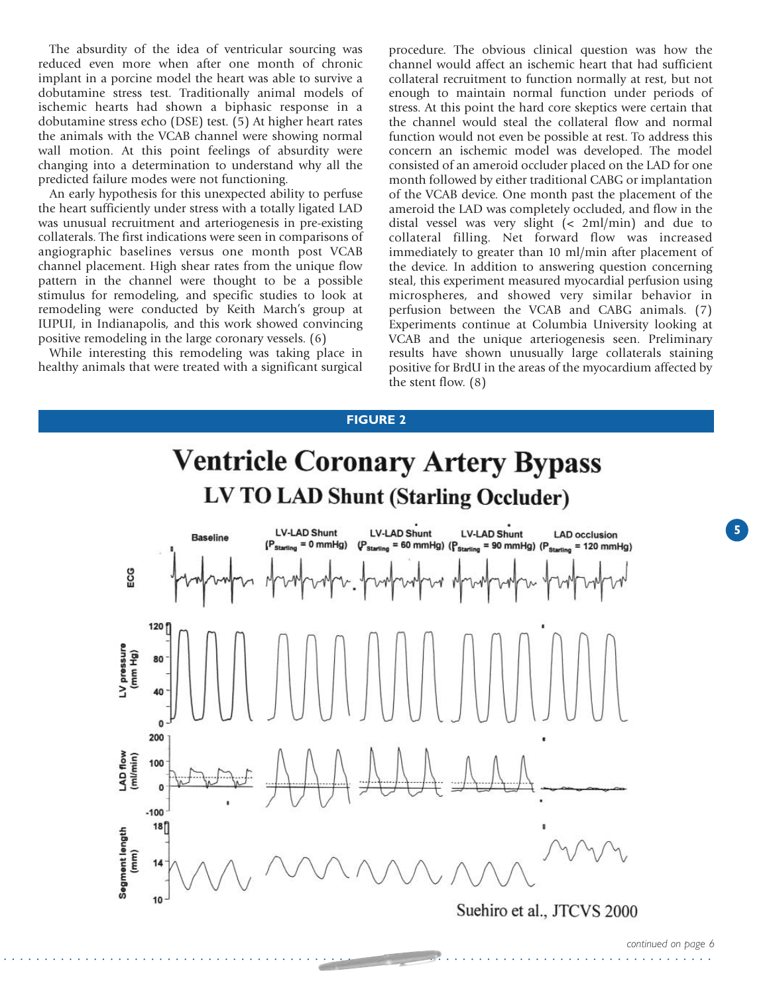The absurdity of the idea of ventricular sourcing was reduced even more when after one month of chronic implant in a porcine model the heart was able to survive a dobutamine stress test. Traditionally animal models of ischemic hearts had shown a biphasic response in a dobutamine stress echo (DSE) test. (5) At higher heart rates the animals with the VCAB channel were showing normal wall motion. At this point feelings of absurdity were changing into a determination to understand why all the predicted failure modes were not functioning.

An early hypothesis for this unexpected ability to perfuse the heart sufficiently under stress with a totally ligated LAD was unusual recruitment and arteriogenesis in pre-existing collaterals. The first indications were seen in comparisons of angiographic baselines versus one month post VCAB channel placement. High shear rates from the unique flow pattern in the channel were thought to be a possible stimulus for remodeling, and specific studies to look at remodeling were conducted by Keith March's group at IUPUI, in Indianapolis, and this work showed convincing positive remodeling in the large coronary vessels. (6)

While interesting this remodeling was taking place in healthy animals that were treated with a significant surgical procedure. The obvious clinical question was how the channel would affect an ischemic heart that had sufficient collateral recruitment to function normally at rest, but not enough to maintain normal function under periods of stress. At this point the hard core skeptics were certain that the channel would steal the collateral flow and normal function would not even be possible at rest. To address this concern an ischemic model was developed. The model consisted of an ameroid occluder placed on the LAD for one month followed by either traditional CABG or implantation of the VCAB device. One month past the placement of the ameroid the LAD was completely occluded, and flow in the distal vessel was very slight (< 2ml/min) and due to collateral filling. Net forward flow was increased immediately to greater than 10 ml/min after placement of the device. In addition to answering question concerning steal, this experiment measured myocardial perfusion using microspheres, and showed very similar behavior in perfusion between the VCAB and CABG animals. (7) Experiments continue at Columbia University looking at VCAB and the unique arteriogenesis seen. Preliminary results have shown unusually large collaterals staining positive for BrdU in the areas of the myocardium affected by the stent flow. (8)

#### **FIGURE 2**

# **Ventricle Coronary Artery Bypass** LV TO LAD Shunt (Starling Occluder)

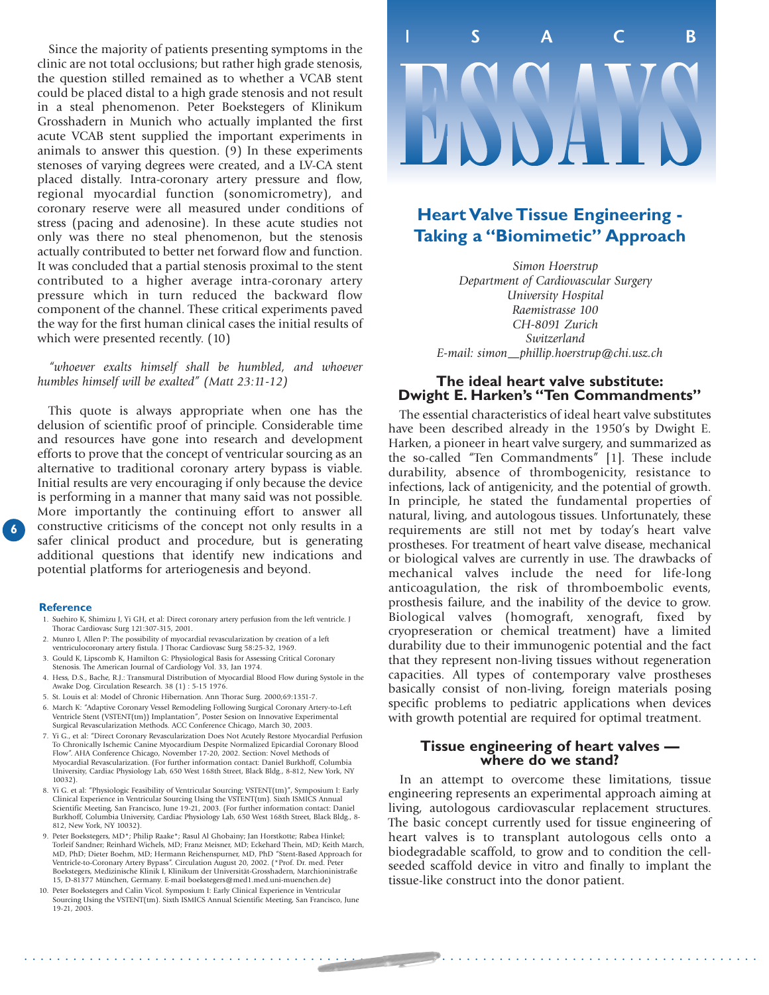Since the majority of patients presenting symptoms in the clinic are not total occlusions; but rather high grade stenosis, the question stilled remained as to whether a VCAB stent could be placed distal to a high grade stenosis and not result in a steal phenomenon. Peter Boekstegers of Klinikum Grosshadern in Munich who actually implanted the first acute VCAB stent supplied the important experiments in animals to answer this question. (9) In these experiments stenoses of varying degrees were created, and a LV-CA stent placed distally. Intra-coronary artery pressure and flow, regional myocardial function (sonomicrometry), and coronary reserve were all measured under conditions of stress (pacing and adenosine). In these acute studies not only was there no steal phenomenon, but the stenosis actually contributed to better net forward flow and function. It was concluded that a partial stenosis proximal to the stent contributed to a higher average intra-coronary artery pressure which in turn reduced the backward flow component of the channel. These critical experiments paved the way for the first human clinical cases the initial results of which were presented recently. (10)

*"whoever exalts himself shall be humbled, and whoever humbles himself will be exalted" (Matt 23:11-12)*

6 constructive safer clini<br>
additional<br>
potential<br>
Reference This quote is always appropriate when one has the delusion of scientific proof of principle. Considerable time and resources have gone into research and development efforts to prove that the concept of ventricular sourcing as an alternative to traditional coronary artery bypass is viable. Initial results are very encouraging if only because the device is performing in a manner that many said was not possible. More importantly the continuing effort to answer all constructive criticisms of the concept not only results in a safer clinical product and procedure, but is generating additional questions that identify new indications and potential platforms for arteriogenesis and beyond.

- 1. Suehiro K, Shimizu J, Yi GH, et al: Direct coronary artery perfusion from the left ventricle. J Thorac Cardiovasc Surg 121:307-315, 2001.
- 2. Munro I, Allen P: The possibility of myocardial revascularization by creation of a left ventriculocoronary artery fistula. J Thorac Cardiovasc Surg 58:25-32, 1969.
- 3. Gould K, Lipscomb K, Hamilton G: Physiological Basis for Assessing Critical Coronary Stenosis. The American Journal of Cardiology Vol. 33, Jan 1974.
- 4. Hess, D.S., Bache, R.J.: Transmural Distribution of Myocardial Blood Flow during Systole in the Awake Dog. Circulation Research. 38 (1) : 5-15 1976.
- 5. St. Louis et al: Model of Chronic Hibernation. Ann Thorac Surg. 2000;69:1351-7.
- 6. March K: "Adaptive Coronary Vessel Remodeling Following Surgical Coronary Artery-to-Left Ventricle Stent (VSTENT(tm)) Implantation", Poster Sesion on Innovative Experimental Surgical Revascularization Methods. ACC Conference Chicago, March 30, 2003.
- 7. Yi G., et al: "Direct Coronary Revascularization Does Not Acutely Restore Myocardial Perfusion To Chronically Ischemic Canine Myocardium Despite Normalized Epicardial Coronary Blood Flow". AHA Conference Chicago, November 17-20, 2002. Section: Novel Methods of Myocardial Revascularization. (For further information contact: Daniel Burkhoff, Columbia University, Cardiac Physiology Lab, 650 West 168th Street, Black Bldg., 8-812, New York, NY 10032).
- 8. Yi G. et al: "Physiologic Feasibility of Ventricular Sourcing: VSTENT(tm)", Symposium I: Early Clinical Experience in Ventricular Sourcing Using the VSTENT(tm). Sixth ISMICS Annual Scientific Meeting, San Francisco, June 19-21, 2003. (For further information contact: Daniel Burkhoff, Columbia University, Cardiac Physiology Lab, 650 West 168th Street, Black Bldg., 8- 812, New York, NY 10032).
- 9. Peter Boekstegers, MD\*; Philip Raake\*; Rasul Al Ghobainy; Jan Horstkotte; Rabea Hinkel; Torleif Sandner; Reinhard Wichels, MD; Franz Meisner, MD; Eckehard Thein, MD; Keith March, MD, PhD; Dieter Boehm, MD; Hermann Reichenspurner, MD, PhD "Stent-Based Approach for Ventricle-to-Coronary Artery Bypass". Circulation August 20, 2002. (\*Prof. Dr. med. Peter Boekstegers, Medizinische Klinik I, Klinikum der Universität-Grosshadern, Marchioninistraße 15, D-81377 München, Germany. E-mail boekstegers@med1.med.uni-muenchen.de)
- 10. Peter Boekstegers and Calin Vicol. Symposium I: Early Clinical Experience in Ventricular Sourcing Using the VSTENT(tm). Sixth ISMICS Annual Scientific Meeting, San Francisco, June 19-21, 2003.



### **Heart Valve Tissue Engineering - Taking a "Biomimetic" Approach**

*Simon Hoerstrup Department of Cardiovascular Surgery University Hospital Raemistrasse 100 CH-8091 Zurich Switzerland E-mail: simon—phillip.hoerstrup@chi.usz.ch* 

#### **The ideal heart valve substitute: Dwight E. Harken's "Ten Commandments"**

The essential characteristics of ideal heart valve substitutes have been described already in the 1950's by Dwight E. Harken, a pioneer in heart valve surgery, and summarized as the so-called "Ten Commandments" [1]. These include durability, absence of thrombogenicity, resistance to infections, lack of antigenicity, and the potential of growth. In principle, he stated the fundamental properties of natural, living, and autologous tissues. Unfortunately, these requirements are still not met by today's heart valve prostheses. For treatment of heart valve disease, mechanical or biological valves are currently in use. The drawbacks of mechanical valves include the need for life-long anticoagulation, the risk of thromboembolic events, prosthesis failure, and the inability of the device to grow. Biological valves (homograft, xenograft, fixed by cryopreseration or chemical treatment) have a limited durability due to their immunogenic potential and the fact that they represent non-living tissues without regeneration capacities. All types of contemporary valve prostheses basically consist of non-living, foreign materials posing specific problems to pediatric applications when devices with growth potential are required for optimal treatment.

#### **Tissue engineering of heart valves where do we stand?**

In an attempt to overcome these limitations, tissue engineering represents an experimental approach aiming at living, autologous cardiovascular replacement structures. The basic concept currently used for tissue engineering of heart valves is to transplant autologous cells onto a biodegradable scaffold, to grow and to condition the cellseeded scaffold device in vitro and finally to implant the tissue-like construct into the donor patient.

. . . . . . . . . . . . . . . . . . . . . . . . . . . . . . . . . . . . . . . . . . . . . . . . . . . . . . . . . . . . . . . . . . . . . . . . . . . . . . . . . . . . . . . . . .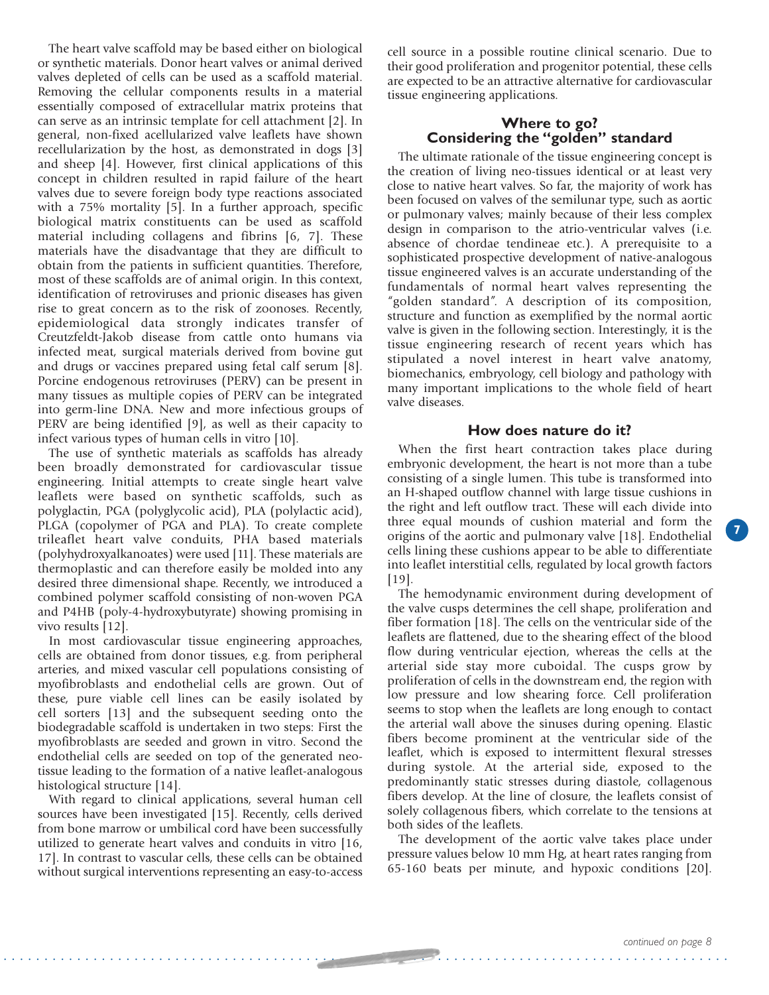The heart valve scaffold may be based either on biological or synthetic materials. Donor heart valves or animal derived valves depleted of cells can be used as a scaffold material. Removing the cellular components results in a material essentially composed of extracellular matrix proteins that can serve as an intrinsic template for cell attachment [2]. In general, non-fixed acellularized valve leaflets have shown recellularization by the host, as demonstrated in dogs [3] and sheep [4]. However, first clinical applications of this concept in children resulted in rapid failure of the heart valves due to severe foreign body type reactions associated with a 75% mortality [5]. In a further approach, specific biological matrix constituents can be used as scaffold material including collagens and fibrins [6, 7]. These materials have the disadvantage that they are difficult to obtain from the patients in sufficient quantities. Therefore, most of these scaffolds are of animal origin. In this context, identification of retroviruses and prionic diseases has given rise to great concern as to the risk of zoonoses. Recently, epidemiological data strongly indicates transfer of Creutzfeldt-Jakob disease from cattle onto humans via infected meat, surgical materials derived from bovine gut and drugs or vaccines prepared using fetal calf serum [8]. Porcine endogenous retroviruses (PERV) can be present in many tissues as multiple copies of PERV can be integrated into germ-line DNA. New and more infectious groups of PERV are being identified [9], as well as their capacity to infect various types of human cells in vitro [10].

The use of synthetic materials as scaffolds has already been broadly demonstrated for cardiovascular tissue engineering. Initial attempts to create single heart valve leaflets were based on synthetic scaffolds, such as polyglactin, PGA (polyglycolic acid), PLA (polylactic acid), PLGA (copolymer of PGA and PLA). To create complete trileaflet heart valve conduits, PHA based materials (polyhydroxyalkanoates) were used [11]. These materials are thermoplastic and can therefore easily be molded into any desired three dimensional shape. Recently, we introduced a combined polymer scaffold consisting of non-woven PGA and P4HB (poly-4-hydroxybutyrate) showing promising in vivo results [12].

In most cardiovascular tissue engineering approaches, cells are obtained from donor tissues, e.g. from peripheral arteries, and mixed vascular cell populations consisting of myofibroblasts and endothelial cells are grown. Out of these, pure viable cell lines can be easily isolated by cell sorters [13] and the subsequent seeding onto the biodegradable scaffold is undertaken in two steps: First the myofibroblasts are seeded and grown in vitro. Second the endothelial cells are seeded on top of the generated neotissue leading to the formation of a native leaflet-analogous histological structure [14].

With regard to clinical applications, several human cell sources have been investigated [15]. Recently, cells derived from bone marrow or umbilical cord have been successfully utilized to generate heart valves and conduits in vitro [16, 17]. In contrast to vascular cells, these cells can be obtained without surgical interventions representing an easy-to-access

cell source in a possible routine clinical scenario. Due to their good proliferation and progenitor potential, these cells are expected to be an attractive alternative for cardiovascular tissue engineering applications.

#### **Where to go? Considering the "golden" standard**

The ultimate rationale of the tissue engineering concept is the creation of living neo-tissues identical or at least very close to native heart valves. So far, the majority of work has been focused on valves of the semilunar type, such as aortic or pulmonary valves; mainly because of their less complex design in comparison to the atrio-ventricular valves (i.e. absence of chordae tendineae etc.). A prerequisite to a sophisticated prospective development of native-analogous tissue engineered valves is an accurate understanding of the fundamentals of normal heart valves representing the "golden standard". A description of its composition, structure and function as exemplified by the normal aortic valve is given in the following section. Interestingly, it is the tissue engineering research of recent years which has stipulated a novel interest in heart valve anatomy, biomechanics, embryology, cell biology and pathology with many important implications to the whole field of heart valve diseases.

#### **How does nature do it?**

When the first heart contraction takes place during embryonic development, the heart is not more than a tube consisting of a single lumen. This tube is transformed into an H-shaped outflow channel with large tissue cushions in the right and left outflow tract. These will each divide into three equal mounds of cushion material and form the origins of the aortic and pulmonary valve [18]. Endothelial cells lining these cushions appear to be able to differentiate into leaflet interstitial cells, regulated by local growth factors [19].

The hemodynamic environment during development of the valve cusps determines the cell shape, proliferation and fiber formation [18]. The cells on the ventricular side of the leaflets are flattened, due to the shearing effect of the blood flow during ventricular ejection, whereas the cells at the arterial side stay more cuboidal. The cusps grow by proliferation of cells in the downstream end, the region with low pressure and low shearing force. Cell proliferation seems to stop when the leaflets are long enough to contact the arterial wall above the sinuses during opening. Elastic fibers become prominent at the ventricular side of the leaflet, which is exposed to intermittent flexural stresses during systole. At the arterial side, exposed to the predominantly static stresses during diastole, collagenous fibers develop. At the line of closure, the leaflets consist of solely collagenous fibers, which correlate to the tensions at both sides of the leaflets.

The development of the aortic valve takes place under pressure values below 10 mm Hg, at heart rates ranging from 65-160 beats per minute, and hypoxic conditions [20].

**7**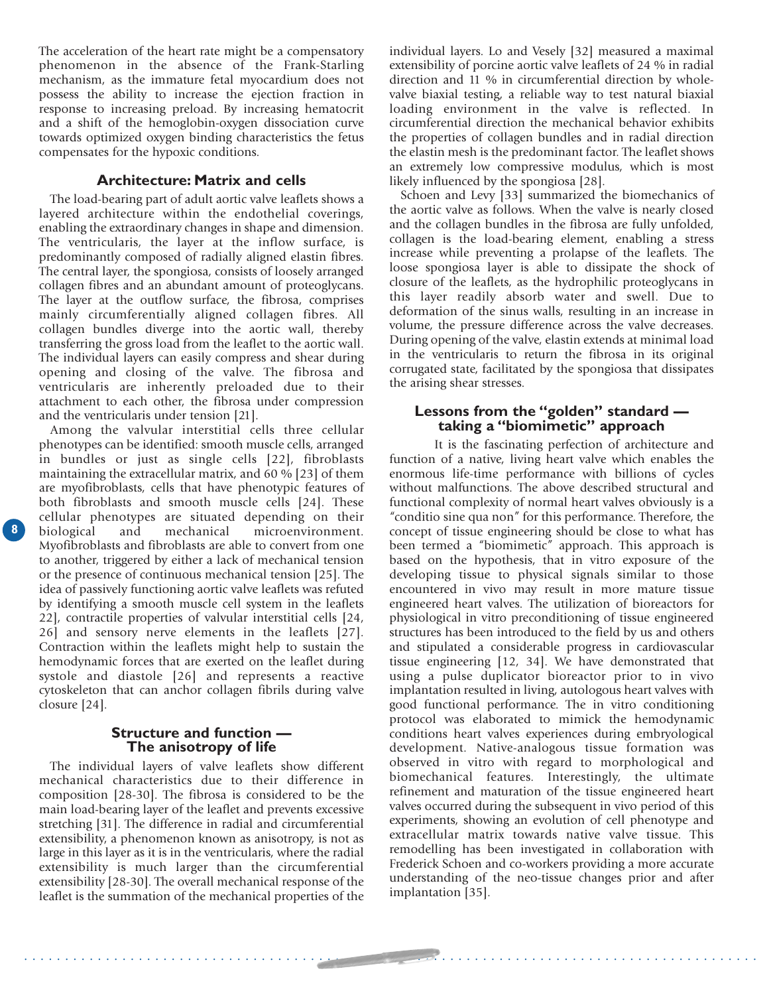The acceleration of the heart rate might be a compensatory phenomenon in the absence of the Frank-Starling mechanism, as the immature fetal myocardium does not possess the ability to increase the ejection fraction in response to increasing preload. By increasing hematocrit and a shift of the hemoglobin-oxygen dissociation curve towards optimized oxygen binding characteristics the fetus compensates for the hypoxic conditions.

#### **Architecture: Matrix and cells**

The load-bearing part of adult aortic valve leaflets shows a layered architecture within the endothelial coverings, enabling the extraordinary changes in shape and dimension. The ventricularis, the layer at the inflow surface, is predominantly composed of radially aligned elastin fibres. The central layer, the spongiosa, consists of loosely arranged collagen fibres and an abundant amount of proteoglycans. The layer at the outflow surface, the fibrosa, comprises mainly circumferentially aligned collagen fibres. All collagen bundles diverge into the aortic wall, thereby transferring the gross load from the leaflet to the aortic wall. The individual layers can easily compress and shear during opening and closing of the valve. The fibrosa and ventricularis are inherently preloaded due to their attachment to each other, the fibrosa under compression and the ventricularis under tension [21].

Among the valvular interstitial cells three cellular phenotypes can be identified: smooth muscle cells, arranged in bundles or just as single cells [22], fibroblasts maintaining the extracellular matrix, and 60 % [23] of them are myofibroblasts, cells that have phenotypic features of both fibroblasts and smooth muscle cells [24]. These cellular phenotypes are situated depending on their microenvironment. Myofibroblasts and fibroblasts are able to convert from one to another, triggered by either a lack of mechanical tension or the presence of continuous mechanical tension [25]. The idea of passively functioning aortic valve leaflets was refuted by identifying a smooth muscle cell system in the leaflets 22], contractile properties of valvular interstitial cells [24, 26] and sensory nerve elements in the leaflets [27]. Contraction within the leaflets might help to sustain the hemodynamic forces that are exerted on the leaflet during systole and diastole [26] and represents a reactive cytoskeleton that can anchor collagen fibrils during valve closure [24].

#### **Structure and function — The anisotropy of life**

The individual layers of valve leaflets show different mechanical characteristics due to their difference in composition [28-30]. The fibrosa is considered to be the main load-bearing layer of the leaflet and prevents excessive stretching [31]. The difference in radial and circumferential extensibility, a phenomenon known as anisotropy, is not as large in this layer as it is in the ventricularis, where the radial extensibility is much larger than the circumferential extensibility [28-30]. The overall mechanical response of the leaflet is the summation of the mechanical properties of the

. . . . . . . . . . . . . . . . . . . . . . . . . . . . . . . . . . . . . . . . . . . . . . . . . . . . . . . . . . . . . . . . . . . . . . . . . . . . . . . . . . . . . . . . . .

individual layers. Lo and Vesely [32] measured a maximal extensibility of porcine aortic valve leaflets of 24 % in radial direction and 11 % in circumferential direction by wholevalve biaxial testing, a reliable way to test natural biaxial loading environment in the valve is reflected. In circumferential direction the mechanical behavior exhibits the properties of collagen bundles and in radial direction the elastin mesh is the predominant factor. The leaflet shows an extremely low compressive modulus, which is most likely influenced by the spongiosa [28].

Schoen and Levy [33] summarized the biomechanics of the aortic valve as follows. When the valve is nearly closed and the collagen bundles in the fibrosa are fully unfolded, collagen is the load-bearing element, enabling a stress increase while preventing a prolapse of the leaflets. The loose spongiosa layer is able to dissipate the shock of closure of the leaflets, as the hydrophilic proteoglycans in this layer readily absorb water and swell. Due to deformation of the sinus walls, resulting in an increase in volume, the pressure difference across the valve decreases. During opening of the valve, elastin extends at minimal load in the ventricularis to return the fibrosa in its original corrugated state, facilitated by the spongiosa that dissipates the arising shear stresses.

#### **Lessons from the "golden" standard taking a "biomimetic" approach**

It is the fascinating perfection of architecture and function of a native, living heart valve which enables the enormous life-time performance with billions of cycles without malfunctions. The above described structural and functional complexity of normal heart valves obviously is a "conditio sine qua non" for this performance. Therefore, the concept of tissue engineering should be close to what has been termed a "biomimetic" approach. This approach is based on the hypothesis, that in vitro exposure of the developing tissue to physical signals similar to those encountered in vivo may result in more mature tissue engineered heart valves. The utilization of bioreactors for physiological in vitro preconditioning of tissue engineered structures has been introduced to the field by us and others and stipulated a considerable progress in cardiovascular tissue engineering [12, 34]. We have demonstrated that using a pulse duplicator bioreactor prior to in vivo implantation resulted in living, autologous heart valves with good functional performance. The in vitro conditioning protocol was elaborated to mimick the hemodynamic conditions heart valves experiences during embryological development. Native-analogous tissue formation was observed in vitro with regard to morphological and biomechanical features. Interestingly, the ultimate refinement and maturation of the tissue engineered heart valves occurred during the subsequent in vivo period of this experiments, showing an evolution of cell phenotype and extracellular matrix towards native valve tissue. This remodelling has been investigated in collaboration with Frederick Schoen and co-workers providing a more accurate understanding of the neo-tissue changes prior and after implantation [35].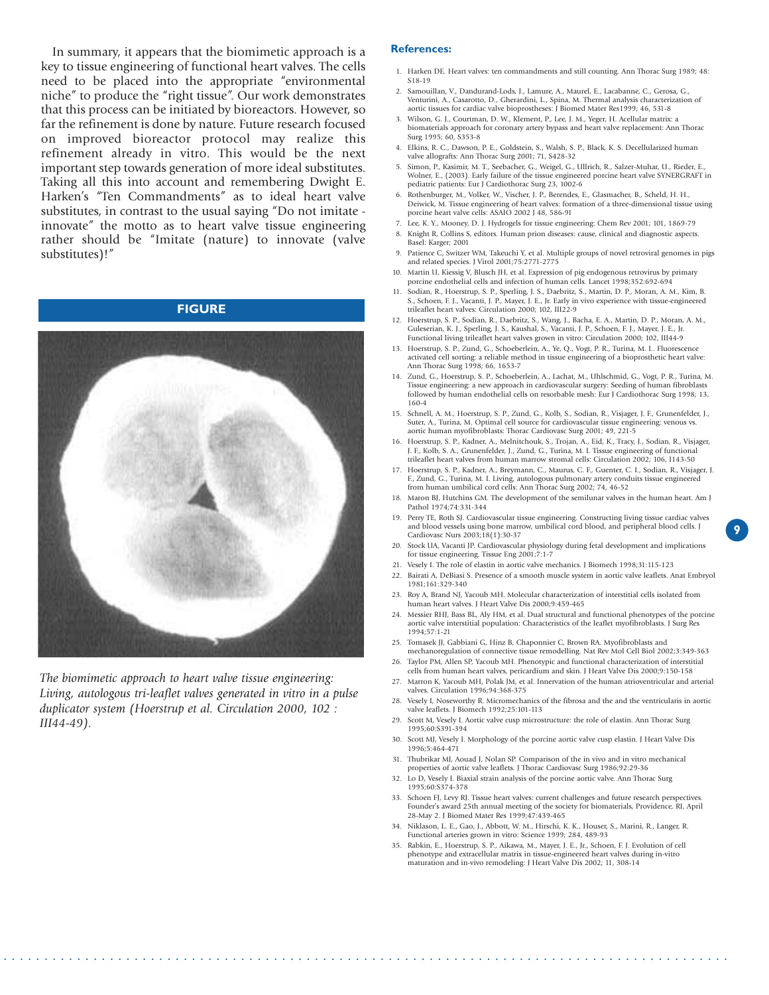In summary, it appears that the biomimetic approach is a key to tissue engineering of functional heart valves. The cells need to be placed into the appropriate "environmental niche" to produce the "right tissue". Our work demonstrates that this process can be initiated by bioreactors. However, so far the refinement is done by nature. Future research focused on improved bioreactor protocol may realize this refinement already in vitro. This would be the next important step towards generation of more ideal substitutes. Taking all this into account and remembering Dwight E. Harken's "Ten Commandments" as to ideal heart valve substitutes, in contrast to the usual saying "Do not imitate innovate" the motto as to heart valve tissue engineering rather should be "Imitate (nature) to innovate (valve substitutes)!"

#### **FIGURE**



*The biomimetic approach to heart valve tissue engineering: Living, autologous tri-leaflet valves generated in vitro in a pulse duplicator system (Hoerstrup et al. Circulation 2000, 102 : III44-49).*

#### **References:**

- 1. Harken DE. Heart valves: ten commandments and still counting. Ann Thorac Surg 1989; 48: S18-19
- 2. Samouillan, V., Dandurand-Lods, J., Lamure, A., Maurel, E., Lacabanne, C., Gerosa, G., Venturini, A., Casarotto, D., Gherardini, L., Spina, M. Thermal analysis characterization of aortic tissues for cardiac valve bioprostheses: J Biomed Mater Res1999; 46, 531-8
- 3. Wilson, G. J., Courtman, D. W., Klement, P., Lee, J. M., Yeger, H. Acellular matrix: a biomaterials approach for coronary artery bypass and heart valve replacement: Ann Thorac Surg 1995; 60, S353-8
- 4. Elkins, R. C., Dawson, P. E., Goldstein, S., Walsh, S. P., Black, K. S. Decellularized human valve allografts: Ann Thorac Surg 2001; 71, S428-32
- 5. Simon, P., Kasimir, M. T., Seebacher, G., Weigel, G., Ullrich, R., Salzer-Muhar, U., Rieder, E., Wolner, E., (2003). Early failure of the tissue engineered porcine heart valve SYNERGRAFT in pediatric patients: Eur J Cardiothorac Surg 23, 1002-6
- 6. Rothenburger, M., Volker, W., Vischer, J. P., Berendes, E., Glasmacher, B., Scheld, H. H., Deiwick, M. Tissue engineering of heart valves: formation of a three-dimensional tissue using porcine heart valve cells: ASAIO 2002 J 48, 586-91
- 7. Lee, K. Y., Mooney, D. J. Hydrogels for tissue engineering: Chem Rev 2001; 101, 1869-79 8. Knight R, Collins S, editors. Human prion diseases: cause, clinical and diagnostic aspects.
- Basel: Karger; 2001 9. Patience C, Switzer WM, Takeuchi Y, et al. Multiple groups of novel retroviral genomes in pigs and related species. J Virol 2001;75:2771-2775
- 10. Martin U, Kiessig V, Blusch JH, et al. Expression of pig endogenous retrovirus by primary porcine endothelial cells and infection of human cells. Lancet 1998;352:692-694
- 11. Sodian, R., Hoerstrup, S. P., Sperling, J. S., Daebritz, S., Martin, D. P., Moran, A. M., Kim, B. S., Schoen, F. J., Vacanti, J. P., Mayer, J. E., Jr. Early in vivo experience with tissue-engineered trileaflet heart valves: Circulation 2000; 102, III22-9
- 12. Hoerstrup, S. P., Sodian, R., Daebritz, S., Wang, J., Bacha, E. A., Martin, D. P., Moran, A. M., Guleserian, K. J., Sperling, J. S., Kaushal, S., Vacanti, J. P., Schoen, F. J., Mayer, J. E., Jr. Functional living trileaflet heart valves grown in vitro: Circulation 2000; 102, III44-9
- 13. Hoerstrup, S. P., Zund, G., Schoeberlein, A., Ye, Q., Vogt, P. R., Turina, M. I.. Fluorescence activated cell sorting: a reliable method in tissue engineering of a bioprosthetic heart valve: Ann Thorac Surg 1998; 66, 1653-7
- 14. Zund, G., Hoerstrup, S. P., Schoeberlein, A., Lachat, M., Uhlschmid, G., Vogt, P. R., Turina, M. Tissue engineering: a new approach in cardiovascular surgery: Seeding of human fibroblasts followed by human endothelial cells on resorbable mesh: Eur J Cardiothorac Surg 1998; 13, 160-4
- 15. Schnell, A. M., Hoerstrup, S. P., Zund, G., Kolb, S., Sodian, R., Visjager, J. F., Grunenfelder, J., Suter, A., Turina, M. Optimal cell source for cardiovascular tissue engineering: venous vs. aortic human myofibroblasts: Thorac Cardiovasc Surg 2001; 49, 221-5
- 16. Hoerstrup, S. P., Kadner, A., Melnitchouk, S., Trojan, A., Eid, K., Tracy, J., Sodian, R., Visjager, F., Kolb, S. A., Grunenfelder, J., Zund, G., Turina, M. I. Tissue engineering of functional trileaflet heart valves from human marrow stromal cells: Circulation 2002; 106, I143-50
- 17. Hoerstrup, S. P., Kadner, A., Breymann, C., Maurus, C. F., Guenter, C. I., Sodian, R., Visjager, J. F., Zund, G., Turina, M. I. Living, autologous pulmonary artery conduits tissue engineered from human umbilical cord cells: Ann Thorac Surg 2002; 74, 46-52
- 18. Maron BJ, Hutchins GM. The development of the semilunar valves in the human heart. Am J Pathol 1974;74:331-344
- 19. Perry TE, Roth SJ. Cardiovascular tissue engineering. Constructing living tissue cardiac valves and blood vessels using bone marrow, umbilical cord blood, and peripheral blood cells. J Cardiovasc Nurs 2003;18(1):30-37

**9**

- 20. Stock UA, Vacanti JP. Cardiovascular physiology during fetal development and implications for tissue engineering. Tissue Eng 2001;7:1-7
- 21. Vesely I. The role of elastin in aortic valve mechanics. J Biomech 1998;31:115-123
- 22. Bairati A, DeBiasi S. Presence of a smooth muscle system in aortic valve leaflets. Anat Embryol 1981;161:329-340
- 23. Roy A, Brand NJ, Yacoub MH. Molecular characterization of interstitial cells isolated from human heart valves. J Heart Valve Dis 2000;9:459-465
- 24. Messier RHJ, Bass BL, Aly HM, et al. Dual structural and functional phenotypes of the porcine aortic valve interstitial population: Characteristics of the leaflet myofibroblasts. J Surg Res 1994;57:1-21
- 25. Tomasek JJ, Gabbiani G, Hinz B, Chaponnier C, Brown RA. Myofibroblasts and mechanoregulation of connective tissue remodelling. Nat Rev Mol Cell Biol 2002;3:349-363
- 26. Taylor PM, Allen SP, Yacoub MH. Phenotypic and functional characterization of interstitial cells from human heart valves, pericardium and skin. J Heart Valve Dis 2000;9:150-158
- 27. Marron K, Yacoub MH, Polak JM, et al. Innervation of the human atrioventricular and arterial valves. Circulation 1996;94:368-375
- 28. Vesely I, Noseworthy R. Micromechanics of the fibrosa and the and the ventricularis in aortic valve leaflets. J Biomech 1992;25:101-113
- 29. Scott M, Vesely I. Aortic valve cusp microstructure: the role of elastin. Ann Thorac Surg 1995;60:S391-394
- 30. Scott MJ, Vesely I. Morphology of the porcine aortic valve cusp elastin. J Heart Valve Dis 1996;5:464-471
- 31. Thubrikar MJ, Aouad J, Nolan SP. Comparison of the in vivo and in vitro mechanical properties of aortic valve leaflets. J Thorac Cardiovasc Surg 1986;92:29-36
- 32. Lo D, Vesely I. Biaxial strain analysis of the porcine aortic valve. Ann Thorac Surg 1995;60:S374-378
- 33. Schoen FJ, Levy RJ. Tissue heart valves: current challenges and future research perspectives. Founder's award 25th annual meeting of the society for biomaterials, Providence, RI, April 28-May 2. J Biomed Mater Res 1999;47:439-465
- 34. Niklason, L. E., Gao, J., Abbott, W. M., Hirschi, K. K., Houser, S., Marini, R., Langer, R. Functional arteries grown in vitro: Science 1999; 284, 489-93
- 35. Rabkin, E., Hoerstrup, S. P., Aikawa, M., Mayer, J. E., Jr., Schoen, F. J. Evolution of cell phenotype and extracellular matrix in tissue-engineered heart valves during in-vitro maturation and in-vivo remodeling: J Heart Valve Dis 2002; 11, 308-14

. . . . . . . . . . . . . . . . . . . . . . . . . . . . . . . . . . . . . . . . . . . . . . . . . . . . . . . . . . . . . . . . . . . . . . . . . . . . . . . . . . . . . . . . .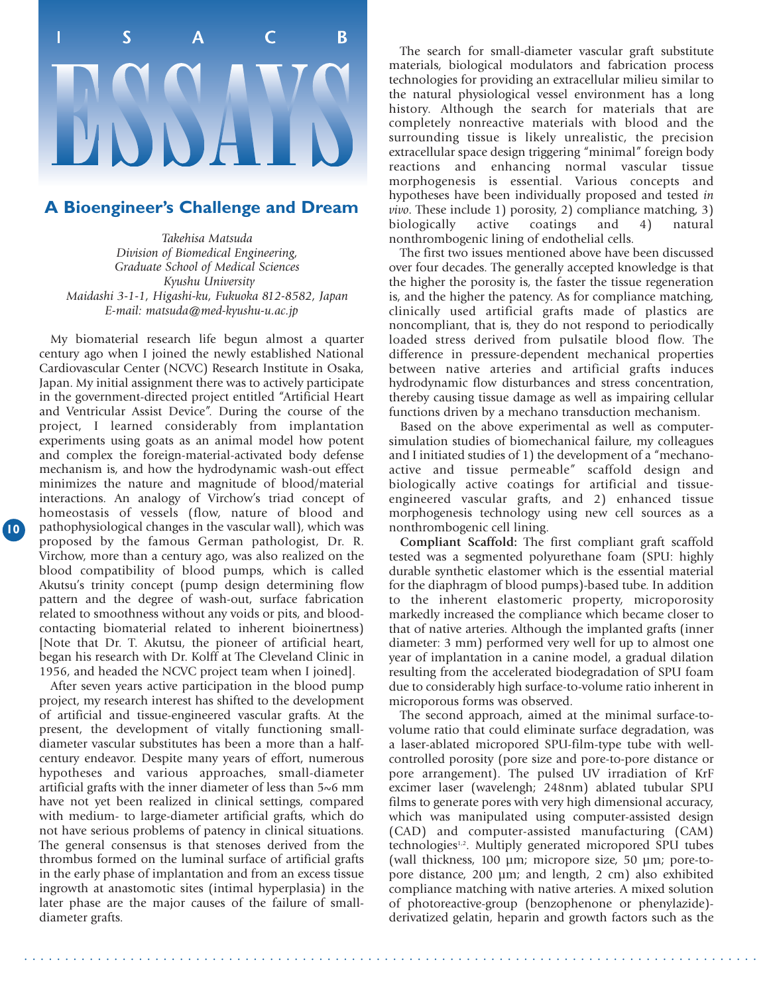

#### **A Bioengineer's Challenge and Dream**

*Takehisa Matsuda Division of Biomedical Engineering, Graduate School of Medical Sciences Kyushu University Maidashi 3-1-1, Higashi-ku, Fukuoka 812-8582, Japan E-mail: matsuda@med-kyushu-u.ac.jp*

My biomaterial research life begun almost a quarter century ago when I joined the newly established National Cardiovascular Center (NCVC) Research Institute in Osaka, Japan. My initial assignment there was to actively participate in the government-directed project entitled "Artificial Heart and Ventricular Assist Device". During the course of the project, I learned considerably from implantation experiments using goats as an animal model how potent and complex the foreign-material-activated body defense mechanism is, and how the hydrodynamic wash-out effect minimizes the nature and magnitude of blood/material interactions. An analogy of Virchow's triad concept of homeostasis of vessels (flow, nature of blood and pathophysiological changes in the vascular wall), which was proposed by the famous German pathologist, Dr. R. Virchow, more than a century ago, was also realized on the blood compatibility of blood pumps, which is called Akutsu's trinity concept (pump design determining flow pattern and the degree of wash-out, surface fabrication related to smoothness without any voids or pits, and bloodcontacting biomaterial related to inherent bioinertness) [Note that Dr. T. Akutsu, the pioneer of artificial heart, began his research with Dr. Kolff at The Cleveland Clinic in 1956, and headed the NCVC project team when I joined].

**10**

After seven years active participation in the blood pump project, my research interest has shifted to the development of artificial and tissue-engineered vascular grafts. At the present, the development of vitally functioning smalldiameter vascular substitutes has been a more than a halfcentury endeavor. Despite many years of effort, numerous hypotheses and various approaches, small-diameter artificial grafts with the inner diameter of less than 5~6 mm have not yet been realized in clinical settings, compared with medium- to large-diameter artificial grafts, which do not have serious problems of patency in clinical situations. The general consensus is that stenoses derived from the thrombus formed on the luminal surface of artificial grafts in the early phase of implantation and from an excess tissue ingrowth at anastomotic sites (intimal hyperplasia) in the later phase are the major causes of the failure of smalldiameter grafts.

The search for small-diameter vascular graft substitute materials, biological modulators and fabrication process technologies for providing an extracellular milieu similar to the natural physiological vessel environment has a long history. Although the search for materials that are completely nonreactive materials with blood and the surrounding tissue is likely unrealistic, the precision extracellular space design triggering "minimal" foreign body reactions and enhancing normal vascular tissue morphogenesis is essential. Various concepts and hypotheses have been individually proposed and tested *in vivo*. These include 1) porosity, 2) compliance matching, 3) biologically active coatings and 4) natural  $\text{coatings}$  and 4) natural nonthrombogenic lining of endothelial cells.

The first two issues mentioned above have been discussed over four decades. The generally accepted knowledge is that the higher the porosity is, the faster the tissue regeneration is, and the higher the patency. As for compliance matching, clinically used artificial grafts made of plastics are noncompliant, that is, they do not respond to periodically loaded stress derived from pulsatile blood flow. The difference in pressure-dependent mechanical properties between native arteries and artificial grafts induces hydrodynamic flow disturbances and stress concentration, thereby causing tissue damage as well as impairing cellular functions driven by a mechano transduction mechanism.

Based on the above experimental as well as computersimulation studies of biomechanical failure, my colleagues and I initiated studies of 1) the development of a "mechanoactive and tissue permeable" scaffold design and biologically active coatings for artificial and tissueengineered vascular grafts, and 2) enhanced tissue morphogenesis technology using new cell sources as a nonthrombogenic cell lining.

**Compliant Scaffold:** The first compliant graft scaffold tested was a segmented polyurethane foam (SPU: highly durable synthetic elastomer which is the essential material for the diaphragm of blood pumps)-based tube. In addition to the inherent elastomeric property, microporosity markedly increased the compliance which became closer to that of native arteries. Although the implanted grafts (inner diameter: 3 mm) performed very well for up to almost one year of implantation in a canine model, a gradual dilation resulting from the accelerated biodegradation of SPU foam due to considerably high surface-to-volume ratio inherent in microporous forms was observed.

The second approach, aimed at the minimal surface-tovolume ratio that could eliminate surface degradation, was a laser-ablated micropored SPU-film-type tube with wellcontrolled porosity (pore size and pore-to-pore distance or pore arrangement). The pulsed UV irradiation of KrF excimer laser (wavelengh; 248nm) ablated tubular SPU films to generate pores with very high dimensional accuracy, which was manipulated using computer-assisted design (CAD) and computer-assisted manufacturing (CAM) technologies<sup>1,2</sup>. Multiply generated micropored SPU tubes (wall thickness, 100 µm; micropore size, 50 µm; pore-topore distance, 200 µm; and length, 2 cm) also exhibited compliance matching with native arteries. A mixed solution of photoreactive-group (benzophenone or phenylazide) derivatized gelatin, heparin and growth factors such as the

. . . . . . . . . . . . . . . . . . . . . . . . . . . . . . . . . . . . . . . . . . . . . . . . . . . . . . . . . . . . . . . . . . . . . . . . . . . . . . . . . . . . . . . . . .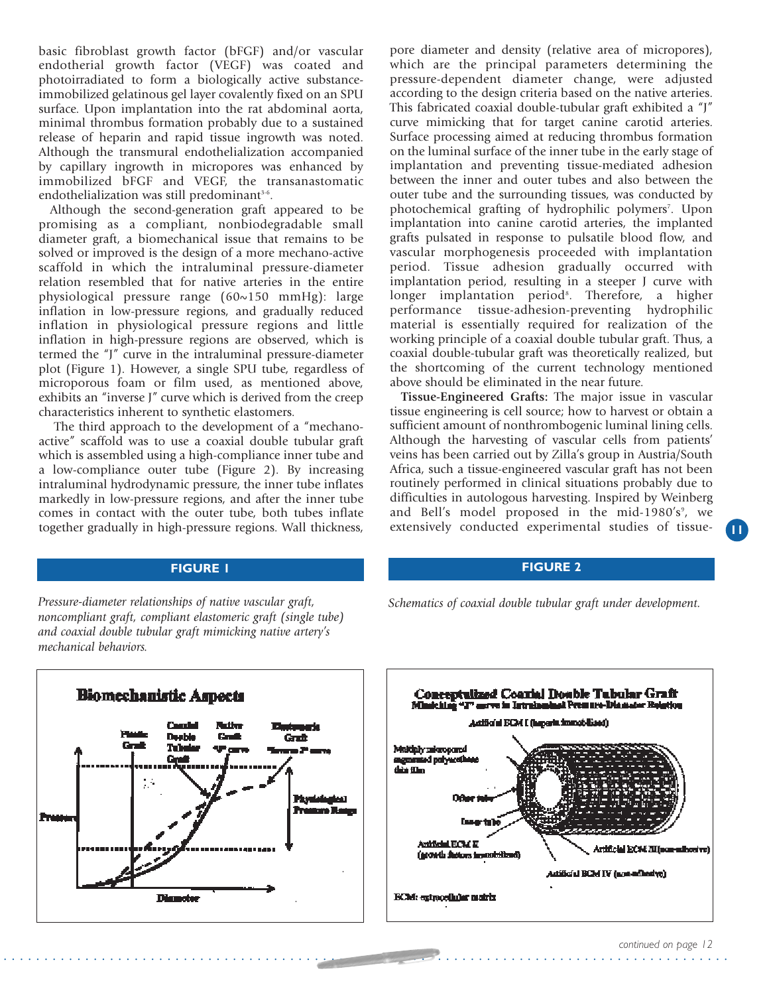basic fibroblast growth factor (bFGF) and/or vascular endotherial growth factor (VEGF) was coated and photoirradiated to form a biologically active substanceimmobilized gelatinous gel layer covalently fixed on an SPU surface. Upon implantation into the rat abdominal aorta, minimal thrombus formation probably due to a sustained release of heparin and rapid tissue ingrowth was noted. Although the transmural endothelialization accompanied by capillary ingrowth in micropores was enhanced by immobilized bFGF and VEGF, the transanastomatic endothelialization was still predominant<sup>3-6</sup>.

Although the second-generation graft appeared to be promising as a compliant, nonbiodegradable small diameter graft, a biomechanical issue that remains to be solved or improved is the design of a more mechano-active scaffold in which the intraluminal pressure-diameter relation resembled that for native arteries in the entire physiological pressure range (60~150 mmHg): large inflation in low-pressure regions, and gradually reduced inflation in physiological pressure regions and little inflation in high-pressure regions are observed, which is termed the "J" curve in the intraluminal pressure-diameter plot (Figure 1). However, a single SPU tube, regardless of microporous foam or film used, as mentioned above, exhibits an "inverse J" curve which is derived from the creep characteristics inherent to synthetic elastomers.

The third approach to the development of a "mechanoactive" scaffold was to use a coaxial double tubular graft which is assembled using a high-compliance inner tube and a low-compliance outer tube (Figure 2). By increasing intraluminal hydrodynamic pressure, the inner tube inflates markedly in low-pressure regions, and after the inner tube comes in contact with the outer tube, both tubes inflate together gradually in high-pressure regions. Wall thickness,

*Pressure-diameter relationships of native vascular graft, noncompliant graft, compliant elastomeric graft (single tube) and coaxial double tubular graft mimicking native artery's mechanical behaviors.*



. . . . . . . . . . . . . . . . . . . . . . . . . . . . . . . . . . . . . . . . . . . . . . . . . . . . . . . . . . . . . . . . . . . . . . . . . . . . . . . . . . . . . . . . .

pore diameter and density (relative area of micropores), which are the principal parameters determining the pressure-dependent diameter change, were adjusted according to the design criteria based on the native arteries. This fabricated coaxial double-tubular graft exhibited a "J" curve mimicking that for target canine carotid arteries. Surface processing aimed at reducing thrombus formation on the luminal surface of the inner tube in the early stage of implantation and preventing tissue-mediated adhesion between the inner and outer tubes and also between the outer tube and the surrounding tissues, was conducted by photochemical grafting of hydrophilic polymers<sup>7</sup>. Upon implantation into canine carotid arteries, the implanted grafts pulsated in response to pulsatile blood flow, and vascular morphogenesis proceeded with implantation period. Tissue adhesion gradually occurred with implantation period, resulting in a steeper J curve with longer implantation period<sup>8</sup>. Therefore, a higher performance tissue-adhesion-preventing hydrophilic material is essentially required for realization of the working principle of a coaxial double tubular graft. Thus, a coaxial double-tubular graft was theoretically realized, but the shortcoming of the current technology mentioned above should be eliminated in the near future.

**Tissue-Engineered Grafts:** The major issue in vascular tissue engineering is cell source; how to harvest or obtain a sufficient amount of nonthrombogenic luminal lining cells. Although the harvesting of vascular cells from patients' veins has been carried out by Zilla's group in Austria/South Africa, such a tissue-engineered vascular graft has not been routinely performed in clinical situations probably due to difficulties in autologous harvesting. Inspired by Weinberg and Bell's model proposed in the mid-1980's<sup>9</sup>, we extensively conducted experimental studies of tissue-

#### **FIGURE 1 FIGURE 2**

*Schematics of coaxial double tubular graft under development.*



**11**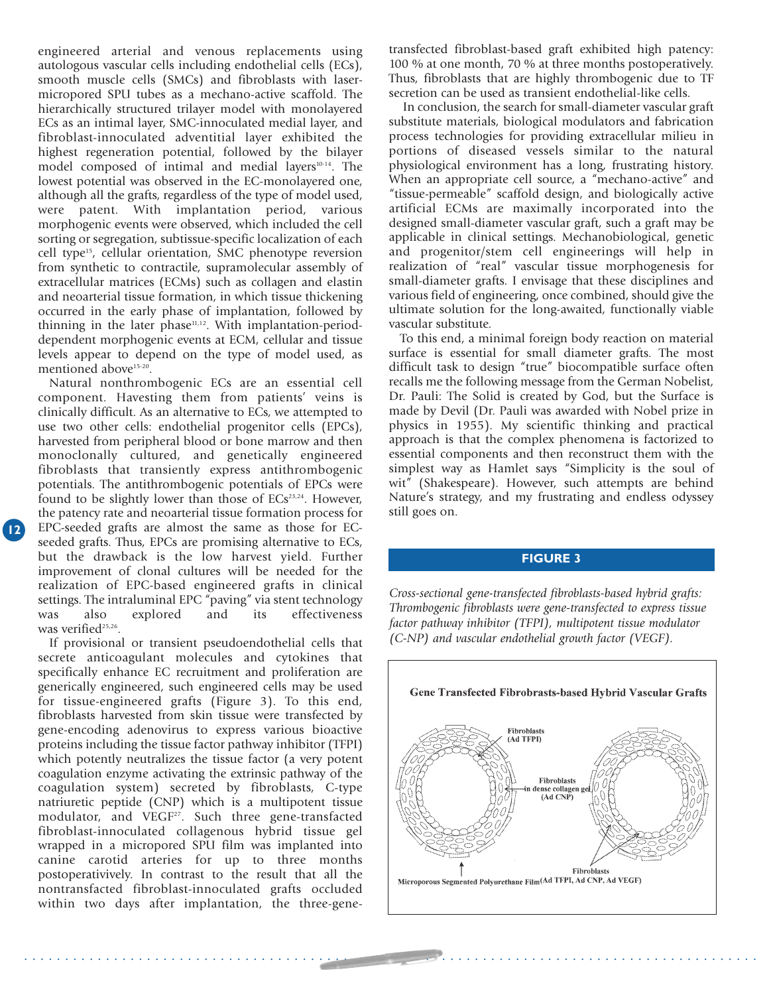engineered arterial and venous replacements using autologous vascular cells including endothelial cells (ECs), smooth muscle cells (SMCs) and fibroblasts with lasermicropored SPU tubes as a mechano-active scaffold. The hierarchically structured trilayer model with monolayered ECs as an intimal layer, SMC-innoculated medial layer, and fibroblast-innoculated adventitial layer exhibited the highest regeneration potential, followed by the bilayer model composed of intimal and medial layers<sup>10-14</sup>. The lowest potential was observed in the EC-monolayered one, although all the grafts, regardless of the type of model used, were patent. With implantation period, various morphogenic events were observed, which included the cell sorting or segregation, subtissue-specific localization of each cell type15, cellular orientation, SMC phenotype reversion from synthetic to contractile, supramolecular assembly of extracellular matrices (ECMs) such as collagen and elastin and neoarterial tissue formation, in which tissue thickening occurred in the early phase of implantation, followed by thinning in the later phase $11,12$ . With implantation-perioddependent morphogenic events at ECM, cellular and tissue levels appear to depend on the type of model used, as mentioned above<sup>15-20</sup>.

Natural nonthrombogenic ECs are an essential cell component. Havesting them from patients' veins is clinically difficult. As an alternative to ECs, we attempted to use two other cells: endothelial progenitor cells (EPCs), harvested from peripheral blood or bone marrow and then monoclonally cultured, and genetically engineered fibroblasts that transiently express antithrombogenic potentials. The antithrombogenic potentials of EPCs were found to be slightly lower than those of  $ECs^{23,24}$ . However, the patency rate and neoarterial tissue formation process for EPC-seeded grafts are almost the same as those for ECseeded grafts. Thus, EPCs are promising alternative to ECs, but the drawback is the low harvest yield. Further improvement of clonal cultures will be needed for the realization of EPC-based engineered grafts in clinical settings. The intraluminal EPC "paving" via stent technology<br>was also explored and its effectiveness was also explored and its effectiveness was verified<sup>25,26</sup>.

If provisional or transient pseudoendothelial cells that secrete anticoagulant molecules and cytokines that specifically enhance EC recruitment and proliferation are generically engineered, such engineered cells may be used for tissue-engineered grafts (Figure 3). To this end, fibroblasts harvested from skin tissue were transfected by gene-encoding adenovirus to express various bioactive proteins including the tissue factor pathway inhibitor (TFPI) which potently neutralizes the tissue factor (a very potent coagulation enzyme activating the extrinsic pathway of the coagulation system) secreted by fibroblasts, C-type natriuretic peptide (CNP) which is a multipotent tissue matrial eta  $\mu$  pepara (est.) which is a matriportal assate modulator, and VEGF<sup>27</sup>. Such three gene-transfacted fibroblast-innoculated collagenous hybrid tissue gel wrapped in a micropored SPU film was implanted into canine carotid arteries for up to three months postoperativively. In contrast to the result that all the nontransfacted fibroblast-innoculated grafts occluded within two days after implantation, the three-gene-

. . . . . . . . . . . . . . . . . . . . . . . . . . . . . . . . . . . . . . . . . . . . . . . . . . . . . . . . . . . . . . . . . . . . . . . . . . . . . . . . . . . . . . . . . .

transfected fibroblast-based graft exhibited high patency: 100 % at one month, 70 % at three months postoperatively. Thus, fibroblasts that are highly thrombogenic due to TF secretion can be used as transient endothelial-like cells.

In conclusion, the search for small-diameter vascular graft substitute materials, biological modulators and fabrication process technologies for providing extracellular milieu in portions of diseased vessels similar to the natural physiological environment has a long, frustrating history. When an appropriate cell source, a "mechano-active" and "tissue-permeable" scaffold design, and biologically active artificial ECMs are maximally incorporated into the designed small-diameter vascular graft, such a graft may be applicable in clinical settings. Mechanobiological, genetic and progenitor/stem cell engineerings will help in realization of "real" vascular tissue morphogenesis for small-diameter grafts. I envisage that these disciplines and various field of engineering, once combined, should give the ultimate solution for the long-awaited, functionally viable vascular substitute.

To this end, a minimal foreign body reaction on material surface is essential for small diameter grafts. The most difficult task to design "true" biocompatible surface often recalls me the following message from the German Nobelist, Dr. Pauli: The Solid is created by God, but the Surface is made by Devil (Dr. Pauli was awarded with Nobel prize in physics in 1955). My scientific thinking and practical approach is that the complex phenomena is factorized to essential components and then reconstruct them with the simplest way as Hamlet says "Simplicity is the soul of wit" (Shakespeare). However, such attempts are behind Nature's strategy, and my frustrating and endless odyssey still goes on.

#### **FIGURE 3**

*Cross-sectional gene-transfected fibroblasts-based hybrid grafts: Thrombogenic fibroblasts were gene-transfected to express tissue factor pathway inhibitor (TFPI), multipotent tissue modulator (C-NP) and vascular endothelial growth factor (VEGF).*

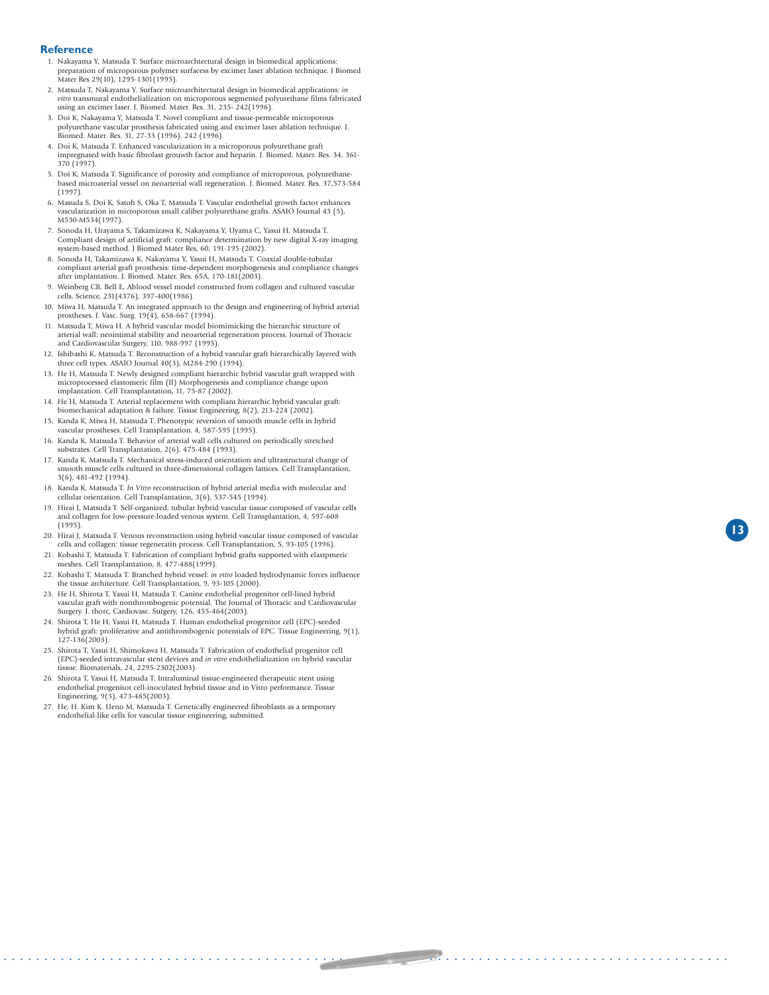#### **Reference**

- 1. Nakayama Y, Matsuda T. Surface microarchtectural design in biomedical applications: preparation of microporous polymer surfacess by excimer laser ablation technique. J Biomed Mater Res 29(10), 1295-1301(1995).
- 2. Matsuda T, Nakayama Y. Surface microarchitectural design in biomedical applications: *in vitro* transmural endothelialization on microporous segmented polyurethane films fabricated using an excimer laser. J. Biomed. Mater. Res. 31, 235- 242(1996).
- 3. Doi K, Nakayama Y, Matsuda T. Novel compliant and tissue-permeable microporous polyurethane vascular prosthesis fabricated using and excimer laser ablation technique. J. Biomed. Mater. Res. 31, 27-33 (1996). 242 (1996).
- 4. Doi K, Matsuda T. Enhanced vascularization in a microporous polyurethane graft impregnated with basic fibrolast grouwth factor and heparin. J. Biomed. Mater. Res. 34, 361- 370 (1997).
- 5. Doi K, Matsuda T. Significance of porosity and compliance of microporous, polyurethane-based microaterial vessel on neoarterial wall regeneration. J. Biomed. Mater. Res. 37,573-584 (1997).
- 6. Masuda S, Doi K, Satoh S, Oka T, Matsuda T. Vascular endothelial growth factor enhances vascularization in microporous small caliber polyurethane grafts. ASAIO Journal 43 (5), M530-M534(1997).
- 7. Sonoda H, Urayama S, Takamizawa K, Nakayama Y, Uyama C, Yasui H, Matsuda T. Compliant design of artificial graft: compliance determination by new digital X-ray imaging system-based method. J Biomed Mater Res, 60, 191-195 (2002).
- 8. Sonoda H, Takamizawa K, Nakayama Y, Yasui H, Matsuda T. Coaxial double-tubular compliant arterial graft prosthesis: time-dependent morphogenesis and compliance changes after implantation. J. Biomed. Mater. Res. 65A, 170-181(2003).
- 9. Weinberg CB, Bell E, Ablood vessel model constructed from collagen and cultured vascular cells. Science, 231(4376), 397-400(1986).
- 10. Miwa H, Matsuda T. An integrated approach to the design and engineering of hybrid arterial prostheses. J. Vasc. Surg. 19(4), 658-667 (1994).
- 11. Matsuda T, Miwa H. A hybrid vascular model biomimicking the hierarchic structure of arterial wall: neointimal stability and neoarterial regeneration process. Journal of Thoracic and Cardiovascular Surgery, 110, 988-997 (1995).
- 12. Ishibashi K, Matsuda T. Reconstruction of a hybrid vascular graft hierarchically layered with three cell types. ASAIO Journal 40(3), M284-290 (1994).
- 13. He H, Matsuda T. Newly designed compliant hierarchic hybrid vascular graft wrapped with microprocessed elastomeric film (II) Morphogenesis and compliance change upon implantation. Cell Transplantation, 11, 75-87 (2002).
- 14. He H, Matsuda T. Arterial replacement with compliant hierarchic hybrid vascular graft: biomechanical adaptation & failure. Tissue Engineering, 8(2), 213-224 (2002).
- 15. Kanda K, Miwa H, Matsuda T. Phenotypic reversion of smooth muscle cells in hybrid vascular prostheses. Cell Transplantation. 4, 587-595 (1995).
- 16. Kanda K, Matsuda T. Behavior of arterial wall cells cultured on periodically stretched substrates. Cell Transplantation, 2(6), 475-484 (1993).
- 17. Kanda K, Matsuda T. Mechanical stress-induced orientation and ultrastructural change of smooth muscle cells cultured in three-dimensional collagen lattices. Cell Transplantation, 3(6), 481-492 (1994).
- 18. Kanda K, Matsuda T. *In Vitro* reconstruction of hybrid arterial media with molecular and cellular orientation. Cell Transplantation, 3(6), 537-545 (1994).
- 19. Hirai J, Matsuda T. Self-organized, tubular hybrid vascular tissue composed of vascular cells and collagen for low-pressure-loaded venous system. Cell Transplantation, 4, 597-608 (1995).
- 20. Hirai J, Matsuda T. Venous reconstruction using hybrid vascular tissue composed of vascular cells and collagen: tissue regeneratin process. Cell Transplantation, 5, 93-105 (1996).
- 21. Kobashi T, Matsuda T. Fabrication of compliant hybrid grafts supported with elastpmeric meshes. Cell Transplantation, 8, 477-488(1999).
- 22. Kobashi T, Matsuda T. Branched hybrid vessel: *in vitro* loaded hydrodynamic forces influence the tissue architecture. Cell Transplantation, 9, 93-105 (2000).
- 23. He H, Shirota T, Yasui H, Matsuda T. Canine endothelial progenitor cell-lined hybrid vascular graft with nonthrombogenic potential. The Journal of Thoracic and Cardiovascular Surgery. J. thorc, Cardiovasc. Surgery, 126, 455-464(2003).
- 24. Shirota T, He H, Yasui H, Matsuda T. Human endothelial progenitor cell (EPC)-seeded hybrid graft: proliferative and antithrombogenic potentials of EPC. Tissue Engineering, 9(1),  $127 - 136(2003)$ .
- 25. Shirota T, Yasui H, Shimokawa H, Matsuda T. Fabrication of endothelial progenitor cell (EPC)-seeded intravascular stent devices and *in vitro* endothelialization on hybrid vascular tissue. Biomaterials, 24, 2295-2302(2003).
- 26. Shirota T, Yasui H, Matsuda T. Intraluminal tissue-engineered therapeutic stent using endothelial progenitor cell-inoculated hybrid tissue and in Vitro performance. Tissue Engineering, 9(3), 473-485(2003).
- 27. He, H. Kim K. Ueno M, Matsuda T. Genetically engineered fibroblasts as a temporary endothelial-like cells for vascular tissue engineering, submitted.

. . . . . . . . . . . . . . . . . . . . . . . . . . . . . . . . . . . . . . . . . . . . . . . . . . . . . . . . . . . . . . . . . . . . . . . . . . . . . . . . . . . . . . . . .

**13**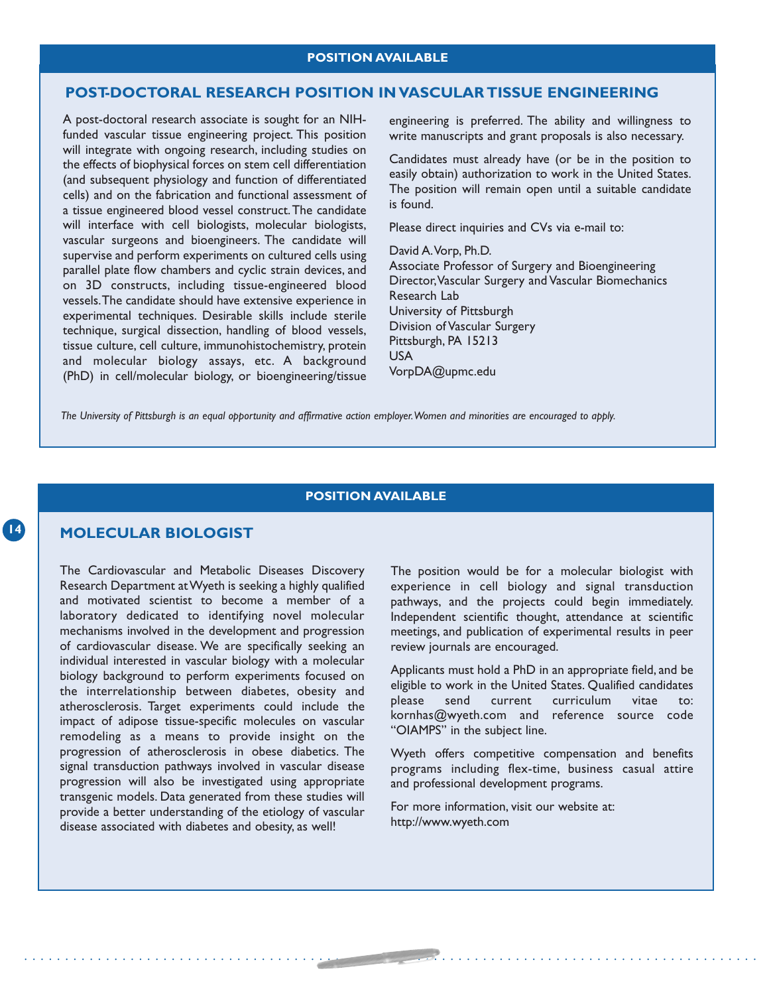#### **POST-DOCTORAL RESEARCH POSITION IN VASCULAR TISSUE ENGINEERING**

A post-doctoral research associate is sought for an NIHfunded vascular tissue engineering project. This position will integrate with ongoing research, including studies on the effects of biophysical forces on stem cell differentiation (and subsequent physiology and function of differentiated cells) and on the fabrication and functional assessment of a tissue engineered blood vessel construct.The candidate will interface with cell biologists, molecular biologists, vascular surgeons and bioengineers. The candidate will supervise and perform experiments on cultured cells using parallel plate flow chambers and cyclic strain devices, and on 3D constructs, including tissue-engineered blood vessels.The candidate should have extensive experience in experimental techniques. Desirable skills include sterile technique, surgical dissection, handling of blood vessels, tissue culture, cell culture, immunohistochemistry, protein and molecular biology assays, etc. A background (PhD) in cell/molecular biology, or bioengineering/tissue

engineering is preferred. The ability and willingness to write manuscripts and grant proposals is also necessary.

Candidates must already have (or be in the position to easily obtain) authorization to work in the United States. The position will remain open until a suitable candidate is found.

Please direct inquiries and CVs via e-mail to:

#### David A.Vorp, Ph.D.

Associate Professor of Surgery and Bioengineering Director,Vascular Surgery and Vascular Biomechanics Research Lab University of Pittsburgh Division of Vascular Surgery Pittsburgh, PA 15213 USA VorpDA@upmc.edu

*The University of Pittsburgh is an equal opportunity and affirmative action employer.Women and minorities are encouraged to apply.*

#### **POSITION AVAILABLE**

. . . . . . . . . . . . . . . . . . . . . . . . . . . . . . . . . . . . . . . . . . . . . . . . . . . . . . . . . . . . . . . . . . . . . . . . . . . . . . . . . . . . . . . . . .

#### **MOLECULAR BIOLOGIST**

**14**

The Cardiovascular and Metabolic Diseases Discovery Research Department at Wyeth is seeking a highly qualified and motivated scientist to become a member of a laboratory dedicated to identifying novel molecular mechanisms involved in the development and progression of cardiovascular disease. We are specifically seeking an individual interested in vascular biology with a molecular biology background to perform experiments focused on the interrelationship between diabetes, obesity and atherosclerosis. Target experiments could include the impact of adipose tissue-specific molecules on vascular remodeling as a means to provide insight on the progression of atherosclerosis in obese diabetics. The signal transduction pathways involved in vascular disease progression will also be investigated using appropriate transgenic models. Data generated from these studies will provide a better understanding of the etiology of vascular disease associated with diabetes and obesity, as well!

The position would be for a molecular biologist with experience in cell biology and signal transduction pathways, and the projects could begin immediately. Independent scientific thought, attendance at scientific meetings, and publication of experimental results in peer review journals are encouraged.

Applicants must hold a PhD in an appropriate field, and be eligible to work in the United States. Qualified candidates<br>please send current curriculum vitae to: send current curriculum vitae to: .<br>kornhas@wyeth.com and reference source code "OIAMPS" in the subject line.

Wyeth offers competitive compensation and benefits programs including flex-time, business casual attire and professional development programs.

For more information, visit our website at: http://www.wyeth.com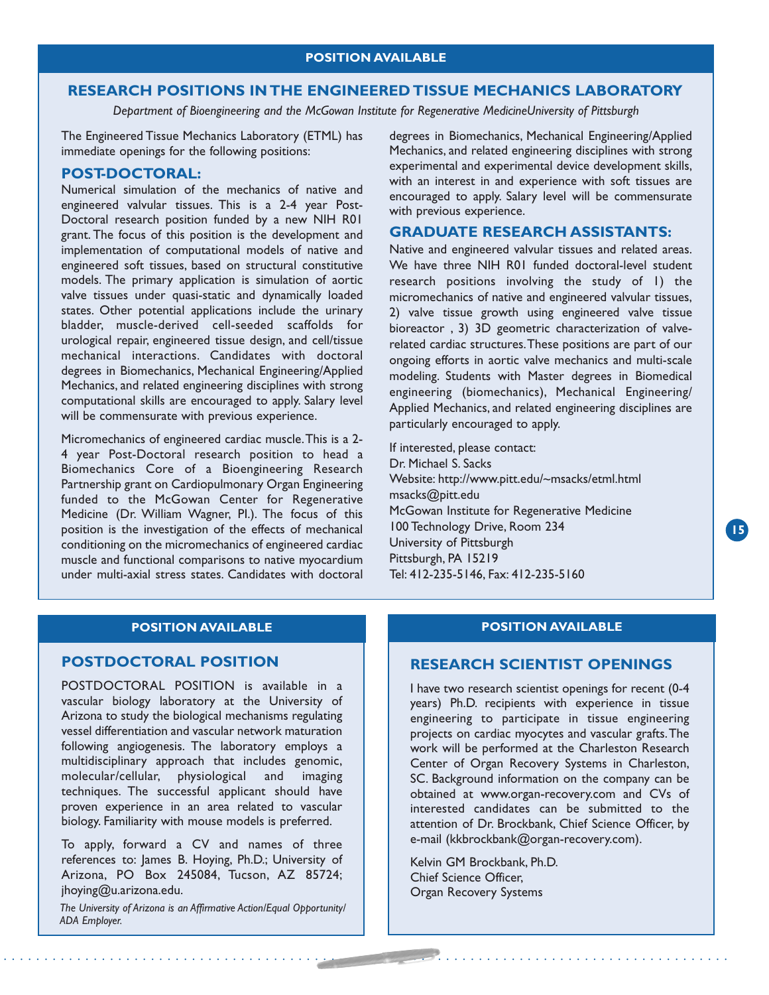#### **RESEARCH POSITIONS IN THE ENGINEERED TISSUE MECHANICS LABORATORY**

*Department of Bioengineering and the McGowan Institute for Regenerative MedicineUniversity of Pittsburgh*

The Engineered Tissue Mechanics Laboratory (ETML) has immediate openings for the following positions:

#### **POST-DOCTORAL:**

Numerical simulation of the mechanics of native and engineered valvular tissues. This is a 2-4 year Post-Doctoral research position funded by a new NIH R01 grant. The focus of this position is the development and implementation of computational models of native and engineered soft tissues, based on structural constitutive models. The primary application is simulation of aortic valve tissues under quasi-static and dynamically loaded states. Other potential applications include the urinary bladder, muscle-derived cell-seeded scaffolds for urological repair, engineered tissue design, and cell/tissue mechanical interactions. Candidates with doctoral degrees in Biomechanics, Mechanical Engineering/Applied Mechanics, and related engineering disciplines with strong computational skills are encouraged to apply. Salary level will be commensurate with previous experience.

Micromechanics of engineered cardiac muscle.This is a 2- 4 year Post-Doctoral research position to head a Biomechanics Core of a Bioengineering Research Partnership grant on Cardiopulmonary Organ Engineering funded to the McGowan Center for Regenerative Medicine (Dr. William Wagner, PI.). The focus of this position is the investigation of the effects of mechanical conditioning on the micromechanics of engineered cardiac muscle and functional comparisons to native myocardium under multi-axial stress states. Candidates with doctoral

degrees in Biomechanics, Mechanical Engineering/Applied Mechanics, and related engineering disciplines with strong experimental and experimental device development skills, with an interest in and experience with soft tissues are encouraged to apply. Salary level will be commensurate with previous experience.

#### **GRADUATE RESEARCH ASSISTANTS:**

Native and engineered valvular tissues and related areas. We have three NIH R01 funded doctoral-level student research positions involving the study of 1) the micromechanics of native and engineered valvular tissues, 2) valve tissue growth using engineered valve tissue bioreactor , 3) 3D geometric characterization of valverelated cardiac structures.These positions are part of our ongoing efforts in aortic valve mechanics and multi-scale modeling. Students with Master degrees in Biomedical engineering (biomechanics), Mechanical Engineering/ Applied Mechanics, and related engineering disciplines are particularly encouraged to apply.

If interested, please contact: Dr. Michael S. Sacks Website: http://www.pitt.edu/~msacks/etml.html msacks@pitt.edu McGowan Institute for Regenerative Medicine 100 Technology Drive, Room 234 University of Pittsburgh Pittsburgh, PA 15219 Tel: 412-235-5146, Fax: 412-235-5160

#### **POSITION AVAILABLE**

#### **POSTDOCTORAL POSITION**

POSTDOCTORAL POSITION is available in a vascular biology laboratory at the University of Arizona to study the biological mechanisms regulating vessel differentiation and vascular network maturation following angiogenesis. The laboratory employs a multidisciplinary approach that includes genomic, molecular/cellular, physiological and imaging techniques. The successful applicant should have proven experience in an area related to vascular biology. Familiarity with mouse models is preferred.

To apply, forward a CV and names of three references to: James B. Hoying, Ph.D.; University of Arizona, PO Box 245084, Tucson, AZ 85724; jhoying@u.arizona.edu.

*The University of Arizona is an Affirmative Action/Equal Opportunity/ ADA Employer.*

#### **POSITION AVAILABLE**

#### **RESEARCH SCIENTIST OPENINGS**

I have two research scientist openings for recent (0-4 years) Ph.D. recipients with experience in tissue engineering to participate in tissue engineering projects on cardiac myocytes and vascular grafts.The work will be performed at the Charleston Research Center of Organ Recovery Systems in Charleston, SC. Background information on the company can be obtained at www.organ-recovery.com and CVs of interested candidates can be submitted to the attention of Dr. Brockbank, Chief Science Officer, by e-mail (kkbrockbank@organ-recovery.com).

Kelvin GM Brockbank, Ph.D. Chief Science Officer, Organ Recovery Systems

. . . . . . . . . . . . . . . . . . . . . . . . . . . . . . . . . . . . . . . . . . . . . . . . . . . . . . . . . . . . . . . . . . . . . . . . . . . . . . . . . . . . . . . . .